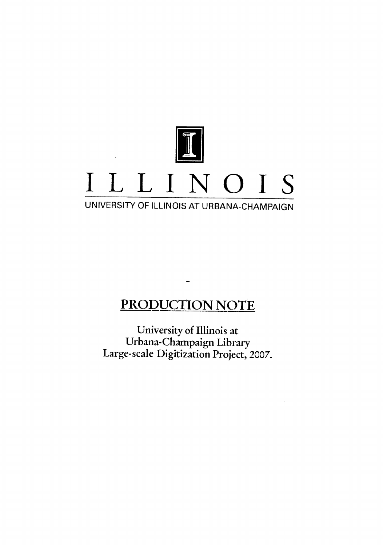

## PRODUCTION NOTE

 $\ddot{\phantom{1}}$ 

University of Illinois at Urbana-Champaign Library Large-scale Digitization Project, 2007.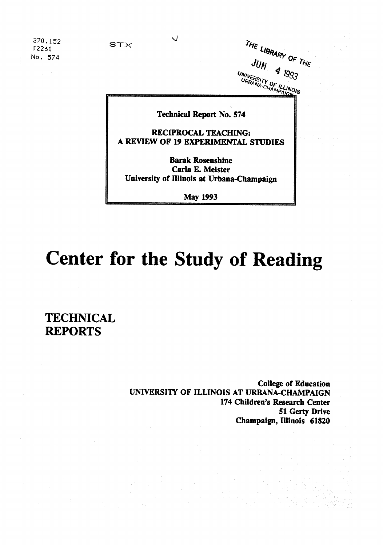370.152 T2261 No. 574

**STX** 

 $\overline{\mathsf{v}}$ 

**Technical Report No. 574** 

THE LIBRARY OF THE

 $JUN$  4 1993

UNIVERSITY OF ILLINOIS<br>URBANA-CHAMPAIGNIS

**RECIPROCAL TEACHING:** A REVIEW OF 19 EXPERIMENTAL STUDIES

**Barak Rosenshine** Carla E. Meister University of Illinois at Urbana-Champaign

**May 1993** 

# **Center for the Study of Reading**

## **TECHNICAL REPORTS**

**College of Education** UNIVERSITY OF ILLINOIS AT URBANA-CHAMPAIGN 174 Children's Research Center 51 Gerty Drive Champaign, Illinois 61820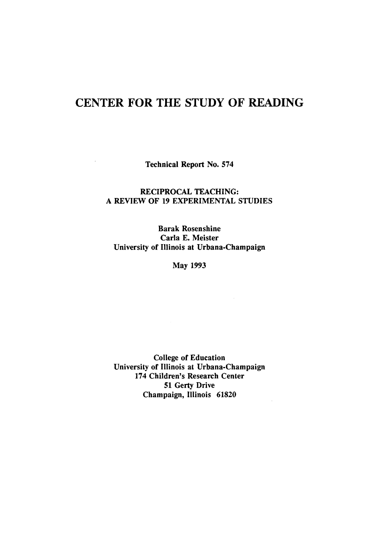## **CENTER FOR THE STUDY OF READING**

**Technical Report No. 574** 

 $\overline{\phantom{a}}$ 

## **RECIPROCAL TEACHING:** A REVIEW OF 19 EXPERIMENTAL STUDIES

**Barak Rosenshine** Carla E. Meister University of Illinois at Urbana-Champaign

**May 1993** 

 $\mathcal{A}^{\mathcal{A}}$ 

**College of Education** University of Illinois at Urbana-Champaign 174 Children's Research Center 51 Gerty Drive Champaign, Illinois 61820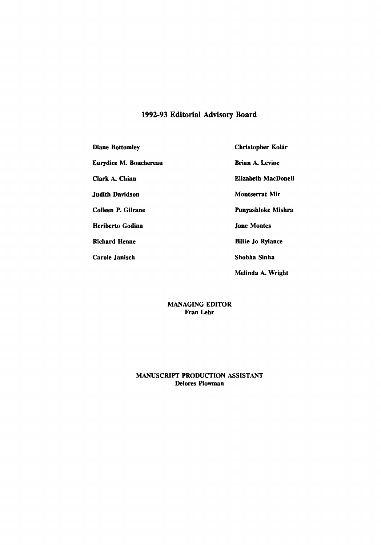## 1992-93 Editorial Advisory Board

**Diane Bottomley** Eurydice M. Bouchereau Clark A. Chinn

**Judith Davidson** 

Colleen P. Gilrane

Heriberto Godina

**Richard Henne** 

**Carole Janisch** 

Christopher Kolár **Brian A. Levine Elizabeth MacDonell** Montserrat Mir Punyashloke Mishra **Jane Montes** 

**Billie Jo Rylance** 

Shobha Sinha

Melinda A. Wright

**MANAGING EDITOR** Fran Lehr

### MANUSCRIPT PRODUCTION ASSISTANT **Delores Plowman**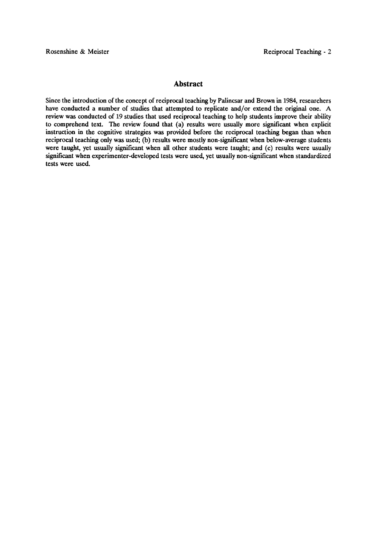#### **Abstract**

Since the introduction of the concept of reciprocal teaching by Palincsar and Brown in 1984, researchers have conducted a number of studies that attempted to replicate and/or extend the original one. A review was conducted of 19 studies that used reciprocal teaching to help students improve their ability to comprehend text. The review found that (a) results were usually more significant when explicit instruction in the cognitive strategies was provided before the reciprocal teaching began than when reciprocal teaching only was used; (b) results were mostly non-significant when below-average students were taught, yet usually significant when all other students were taught; and (c) results were usually significant when experimenter-developed tests were used, yet usually non-significant when standardized tests were used.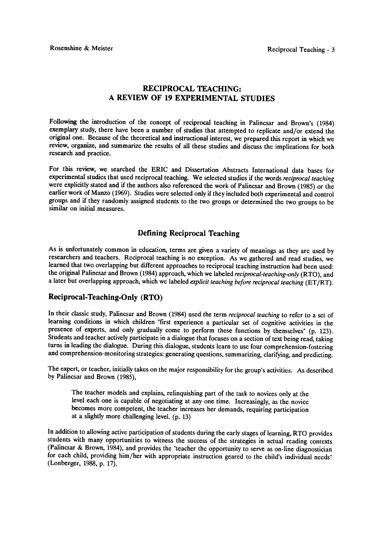## **RECIPROCAL TEACHING:** A REVIEW OF 19 EXPERIMENTAL STUDIES

Following the introduction of the concept of reciprocal teaching in Palincsar and Brown's (1984) exemplary study, there have been a number of studies that attempted to replicate and/or extend the original one. Because of the theoretical and instructional interest, we prepared this report in which we review, organize, and summarize the results of all these studies and discuss the implications for both research and practice.

For this review, we searched the ERIC and Dissertation Abstracts International data bases for experimental studies that used reciprocal teaching. We selected studies if the words reciprocal teaching were explicitly stated and if the authors also referenced the work of Palincsar and Brown (1985) or the earlier work of Manzo (1969). Studies were selected only if they included both experimental and control groups and if they randomly assigned students to the two groups or determined the two groups to be similar on initial measures.

#### **Defining Reciprocal Teaching**

As is unfortunately common in education, terms are given a variety of meanings as they are used by researchers and teachers. Reciprocal teaching is no exception. As we gathered and read studies, we learned that two overlapping but different approaches to reciprocal teaching instruction had been used: the original Palincsar and Brown (1984) approach, which we labeled reciprocal-teaching-only (RTO), and a later but overlapping approach, which we labeled explicit teaching before reciprocal teaching (ET/RT).

#### Reciprocal-Teaching-Only (RTO)

In their classic study, Palincsar and Brown (1984) used the term reciprocal teaching to refer to a set of learning conditions in which children "first experience a particular set of cognitive activities in the presence of experts, and only gradually come to perform these functions by themselves" (p. 123). Students and teacher actively participate in a dialogue that focuses on a section of text being read, taking turns in leading the dialogue. During this dialogue, students learn to use four comprehension-fostering and comprehension-monitoring strategies: generating questions, summarizing, clarifying, and predicting.

The expert, or teacher, initially takes on the major responsibility for the group's activities. As described by Palincsar and Brown (1985),

The teacher models and explains, relinquishing part of the task to novices only at the level each one is capable of negotiating at any one time. Increasingly, as the novice becomes more competent, the teacher increases her demands, requiring participation at a slightly more challenging level. (p. 13)

In addition to allowing active participation of students during the early stages of learning, RTO provides students with many opportunities to witness the success of the strategies in actual reading contexts (Palincsar & Brown, 1984), and provides the "teacher the opportunity to serve as on-line diagnostician for each child, providing him/her with appropriate instruction geared to the child's individual needs" (Lonberger, 1988, p. 17).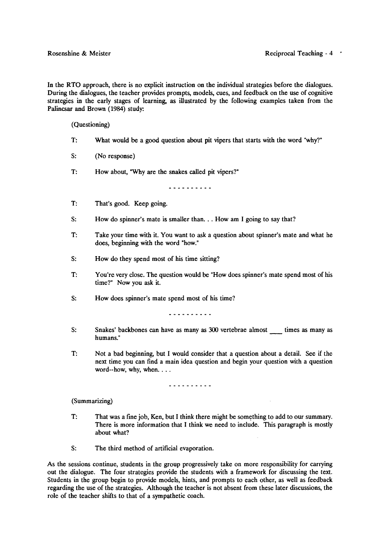In the RTO approach, there is no explicit instruction on the individual strategies before the dialogues. During the dialogues, the teacher provides prompts, models, cues, and feedback on the use of cognitive strategies in the early stages of learning, as illustrated by the following examples taken from the Palincsar and Brown (1984) study:

(Questioning)

- $T:$ What would be a good question about pit vipers that starts with the word "why?"
- $S$ : (No response)
- $\mathbf{T}$ How about, "Why are the snakes called pit vipers?"

. . . . . . . . . .

- T: That's good. Keep going.
- $S:$ How do spinner's mate is smaller than. . . How am I going to say that?
- $T<sub>2</sub>$ Take your time with it. You want to ask a question about spinner's mate and what he does, beginning with the word "how."
- $S:$ How do they spend most of his time sitting?
- $\mathbf{T}$ : You're very close. The question would be "How does spinner's mate spend most of his time?" Now you ask it.
- $S:$ How does spinner's mate spend most of his time?

<u>. . . . . . . . . .</u>

- $S:$ Snakes' backbones can have as many as 300 vertebrae almost \_\_\_\_\_\_ times as many as humans."
- T. Not a bad beginning, but I would consider that a question about a detail. See if the next time you can find a main idea question and begin your question with a question word--how, why, when....

<u>. . . . . . . . . .</u>

(Summarizing)

- T: That was a fine job, Ken, but I think there might be something to add to our summary. There is more information that I think we need to include. This paragraph is mostly about what?
- The third method of artificial evaporation.  $S:$

As the sessions continue, students in the group progressively take on more responsibility for carrying out the dialogue. The four strategies provide the students with a framework for discussing the text. Students in the group begin to provide models, hints, and prompts to each other, as well as feedback regarding the use of the strategies. Although the teacher is not absent from these later discussions, the role of the teacher shifts to that of a sympathetic coach.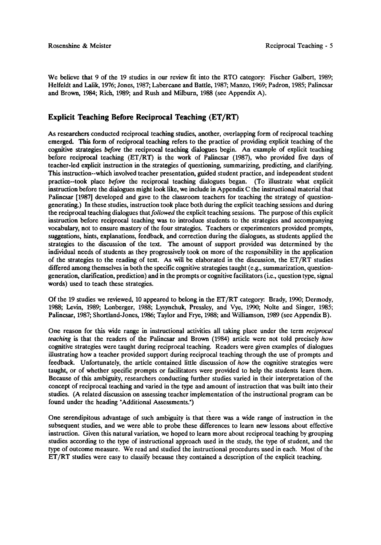We believe that 9 of the 19 studies in our review fit into the RTO category: Fischer Galbert, 1989; Helfeldt and Lalik, 1976; Jones, 1987; Labercane and Battle, 1987; Manzo, 1969; Padron, 1985; Palincsar and Brown, 1984; Rich, 1989; and Rush and Milburn, 1988 (see Appendix A).

#### **Explicit Teaching Before Reciprocal Teaching (ET/RT)**

As researchers conducted reciprocal teaching studies, another, overlapping form of reciprocal teaching emerged. This form of reciprocal teaching refers to the practice of providing explicit teaching of the cognitive strategies before the reciprocal teaching dialogues begin. An example of explicit teaching before reciprocal teaching (ET/RT) is the work of Palincsar (1987), who provided five days of teacher-led explicit instruction in the strategies of questioning, summarizing, predicting, and clarifying. This instruction-which involved teacher presentation, guided student practice, and independent student practice--took place before the reciprocal teaching dialogues began. (To illustrate what explicit instruction before the dialogues might look like, we include in Appendix C the instructional material that Palincsar [1987] developed and gave to the classroom teachers for teaching the strategy of questiongenerating.) In these studies, instruction took place both during the explicit teaching sessions and during the reciprocal teaching dialogues that followed the explicit teaching sessions. The purpose of this explicit instruction before reciprocal teaching was to introduce students to the strategies and accompanying vocabulary, not to ensure mastery of the four strategies. Teachers or experimenters provided prompts, suggestions, hints, explanations, feedback, and correction during the dialogues, as students applied the strategies to the discussion of the text. The amount of support provided was determined by the individual needs of students as they progressively took on more of the responsibility in the application of the strategies to the reading of text. As will be elaborated in the discussion, the  $ET/RT$  studies differed among themselves in both the specific cognitive strategies taught (e.g., summarization, questiongeneration, clarification, prediction) and in the prompts or cognitive facilitators (i.e., question type, signal words) used to teach these strategies.

Of the 19 studies we reviewed, 10 appeared to belong in the ET/RT category: Brady, 1990; Dermody, 1988; Levin, 1989; Lonberger, 1988; Lysynchuk, Pressley, and Vye, 1990; Nolte and Singer, 1985; Palincsar, 1987; Shortland-Jones, 1986; Taylor and Frye, 1988; and Williamson, 1989 (see Appendix B).

One reason for this wide range in instructional activities all taking place under the term *reciprocal* teaching is that the readers of the Palincsar and Brown (1984) article were not told precisely how cognitive strategies were taught during reciprocal teaching. Readers were given examples of dialogues illustrating how a teacher provided support during reciprocal teaching through the use of prompts and feedback. Unfortunately, the article contained little discussion of how the cognitive strategies were taught, or of whether specific prompts or facilitators were provided to help the students learn them. Because of this ambiguity, researchers conducting further studies varied in their interpretation of the concept of reciprocal teaching and varied in the type and amount of instruction that was built into their studies. (A related discussion on assessing teacher implementation of the instructional program can be found under the heading "Additional Assessments.")

One serendipitous advantage of such ambiguity is that there was a wide range of instruction in the subsequent studies, and we were able to probe these differences to learn new lessons about effective instruction. Given this natural variation, we hoped to learn more about reciprocal teaching by grouping studies according to the type of instructional approach used in the study, the type of student, and the type of outcome measure. We read and studied the instructional procedures used in each. Most of the ET/RT studies were easy to classify because they contained a description of the explicit teaching.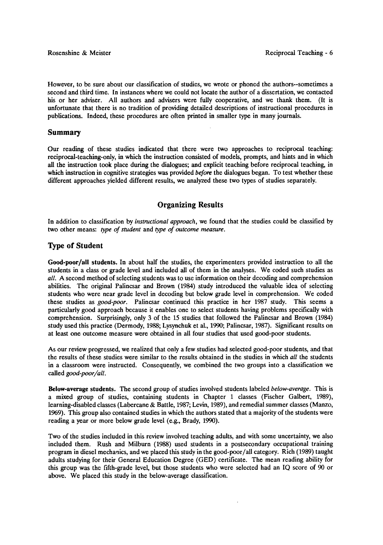However, to be sure about our classification of studies, we wrote or phoned the authors--sometimes a second and third time. In instances where we could not locate the author of a dissertation, we contacted his or her adviser. All authors and advisers were fully cooperative, and we thank them. (It is unfortunate that there is no tradition of providing detailed descriptions of instructional procedures in publications. Indeed, these procedures are often printed in smaller type in many journals.

#### **Summary**

Our reading of these studies indicated that there were two approaches to reciprocal teaching: reciprocal-teaching-only, in which the instruction consisted of models, prompts, and hints and in which all the instruction took place during the dialogues; and explicit teaching before reciprocal teaching, in which instruction in cognitive strategies was provided before the dialogues began. To test whether these different approaches yielded different results, we analyzed these two types of studies separately.

#### **Organizing Results**

In addition to classification by *instructional approach*, we found that the studies could be classified by two other means: type of student and type of outcome measure.

#### **Type of Student**

Good-poor/all students. In about half the studies, the experimenters provided instruction to all the students in a class or grade level and included all of them in the analyses. We coded such studies as all. A second method of selecting students was to use information on their decoding and comprehension abilities. The original Palincsar and Brown (1984) study introduced the valuable idea of selecting students who were near grade level in decoding but below grade level in comprehension. We coded these studies as *good-poor*. Palinesar continued this practice in her 1987 study. This seems a particularly good approach because it enables one to select students having problems specifically with comprehension. Surprisingly, only 3 of the 15 studies that followed the Palincsar and Brown (1984) study used this practice (Dermody, 1988; Lysynchuk et al., 1990; Palincsar, 1987). Significant results on at least one outcome measure were obtained in all four studies that used good-poor students.

As our review progressed, we realized that only a few studies had selected good-poor students, and that the results of these studies were similar to the results obtained in the studies in which all the students in a classroom were instructed. Consequently, we combined the two groups into a classification we called good-poor/all.

Below-average students. The second group of studies involved students labeled below-average. This is a mixed group of studies, containing students in Chapter 1 classes (Fischer Galbert, 1989), learning-disabled classes (Labercane & Battle, 1987; Levin, 1989), and remedial summer classes (Manzo, 1969). This group also contained studies in which the authors stated that a majority of the students were reading a year or more below grade level (e.g., Brady, 1990).

Two of the studies included in this review involved teaching adults, and with some uncertainty, we also included them. Rush and Milburn (1988) used students in a postsecondary occupational training program in diesel mechanics, and we placed this study in the good-poor/all category. Rich (1989) taught adults studying for their General Education Degree (GED) certificate. The mean reading ability for this group was the fifth-grade level, but those students who were selected had an IQ score of 90 or above. We placed this study in the below-average classification.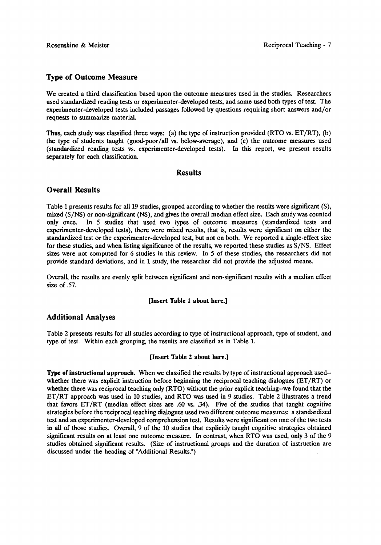#### **Type of Outcome Measure**

We created a third classification based upon the outcome measures used in the studies. Researchers used standardized reading tests or experimenter-developed tests, and some used both types of test. The experimenter-developed tests included passages followed by questions requiring short answers and/or requests to summarize material.

Thus, each study was classified three ways: (a) the type of instruction provided (RTO vs.  $ET/RT$ ), (b) the type of students taught (good-poor/all vs. below-average), and (c) the outcome measures used (standardized reading tests vs. experimenter-developed tests). In this report, we present results separately for each classification.

#### **Results**

#### **Overall Results**

Table 1 presents results for all 19 studies, grouped according to whether the results were significant (S), mixed (S/NS) or non-significant (NS), and gives the overall median effect size. Each study was counted In 5 studies that used two types of outcome measures (standardized tests and only once. experimenter-developed tests), there were mixed results, that is, results were significant on either the standardized test or the experimenter-developed test, but not on both. We reported a single-effect size for these studies, and when listing significance of the results, we reported these studies as S/NS. Effect sizes were not computed for 6 studies in this review. In 5 of these studies, the researchers did not provide standard deviations, and in 1 study, the researcher did not provide the adjusted means.

Overall, the results are evenly split between significant and non-significant results with a median effect size of  $.57$ .

#### [Insert Table 1 about here.]

#### **Additional Analyses**

Table 2 presents results for all studies according to type of instructional approach, type of student, and type of test. Within each grouping, the results are classified as in Table 1.

#### [Insert Table 2 about here.]

Type of instructional approach. When we classified the results by type of instructional approach used-whether there was explicit instruction before beginning the reciprocal teaching dialogues (ET/RT) or whether there was reciprocal teaching only (RTO) without the prior explicit teaching--we found that the ET/RT approach was used in 10 studies, and RTO was used in 9 studies. Table 2 illustrates a trend that favors ET/RT (median effect sizes are .60 vs. .34). Five of the studies that taught cognitive strategies before the reciprocal teaching dialogues used two different outcome measures: a standardized test and an experimenter-developed comprehension test. Results were significant on one of the two tests in all of those studies. Overall, 9 of the 10 studies that explicitly taught cognitive strategies obtained significant results on at least one outcome measure. In contrast, when RTO was used, only 3 of the 9 studies obtained significant results. (Size of instructional groups and the duration of instruction are discussed under the heading of "Additional Results.")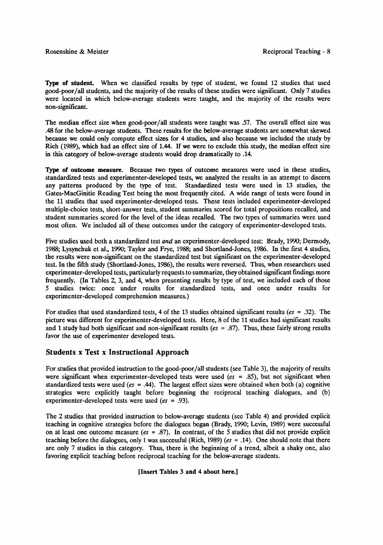Type of student. When we classified results by type of student, we found 12 studies that used good-poor/all students, and the majority of the results of these studies were significant. Only 7 studies were located in which below-average students were taught, and the majority of the results were non-significant.

The median effect size when good-poor/all students were taught was .57. The overall effect size was .48 for the below-average students. These results for the below-average students are somewhat skewed because we could only compute effect sizes for 4 studies, and also because we included the study by Rich (1989), which had an effect size of 1.44. If we were to exclude this study, the median effect size in this category of below-average students would drop dramatically to .14.

Type of outcome measure. Because two types of outcome measures were used in these studies, standardized tests and experimenter-developed tests, we analyzed the results in an attempt to discern any patterns produced by the type of test. Standardized tests were used in 13 studies, the Gates-MacGinitie Reading Test being the most frequently cited. A wide range of tests were found in the 11 studies that used experimenter-developed tests. These tests included experimenter-developed multiple-choice tests, short-answer tests, student summaries scored for total propositions recalled, and student summaries scored for the level of the ideas recalled. The two types of summaries were used most often. We included all of these outcomes under the category of experimenter-developed tests.

Five studies used both a standardized test and an experimenter-developed test: Brady, 1990; Dermody, 1988; Lysynchuk et al., 1990; Taylor and Frye, 1988; and Shortland-Jones, 1986. In the first 4 studies, the results were non-significant on the standardized test but significant on the experimenter-developed test. In the fifth study (Shortland-Jones, 1986), the results were reversed. Thus, when researchers used experimenter-developed tests, particularly requests to summarize, they obtained significant findings more frequently. (In Tables 2, 3, and 4, when presenting results by type of test, we included each of those 5 studies twice: once under results for standardized tests, and once under results for experimenter-developed comprehension measures.)

For studies that used standardized tests, 4 of the 13 studies obtained significant results ( $es = .32$ ). The picture was different for experimenter-developed tests. Here, 8 of the 11 studies had significant results and 1 study had both significant and non-significant results ( $es = .87$ ). Thus, these fairly strong results favor the use of experimenter developed tests.

#### **Students x Test x Instructional Approach**

For studies that provided instruction to the good-poor/all students (see Table 3), the majority of results were significant when experimenter-developed tests were used ( $es = .85$ ), but not significant when standardized tests were used ( $es = .44$ ). The largest effect sizes were obtained when both (a) cognitive strategies were explicitly taught before beginning the reciprocal teaching dialogues, and (b) experimenter-developed tests were used ( $es = .93$ ).

The 2 studies that provided instruction to below-average students (see Table 4) and provided explicit teaching in cognitive strategies before the dialogues began (Brady, 1990; Levin, 1989) were successful on at least one outcome measure ( $es = .87$ ). In contrast, of the 5 studies that did not provide explicit teaching before the dialogues, only 1 was successful (Rich, 1989) ( $es = .14$ ). One should note that there are only 7 studies in this category. Thus, there is the beginning of a trend, albeit a shaky one, also favoring explicit teaching before reciprocal teaching for the below-average students.

#### [Insert Tables 3 and 4 about here.]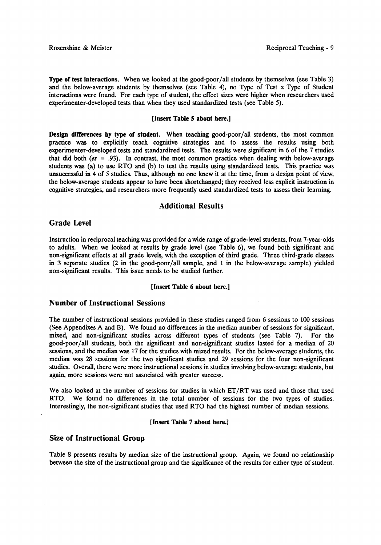Type of test interactions. When we looked at the good-poor/all students by themselves (see Table 3) and the below-average students by themselves (see Table 4), no Type of Test x Type of Student interactions were found. For each type of student, the effect sizes were higher when researchers used experimenter-developed tests than when they used standardized tests (see Table 5).

#### [Insert Table 5 about here.]

Design differences by type of student. When teaching good-poor/all students, the most common practice was to explicitly teach cognitive strategies and to assess the results using both experimenter-developed tests and standardized tests. The results were significant in 6 of the 7 studies that did both (es = .93). In contrast, the most common practice when dealing with below-average students was (a) to use RTO and (b) to test the results using standardized tests. This practice was unsuccessful in 4 of 5 studies. Thus, although no one knew it at the time, from a design point of view, the below-average students appear to have been shortchanged; they received less explicit instruction in cognitive strategies, and researchers more frequently used standardized tests to assess their learning.

#### **Additional Results**

#### **Grade Level**

Instruction in reciprocal teaching was provided for a wide range of grade-level students, from 7-year-olds to adults. When we looked at results by grade level (see Table 6), we found both significant and non-significant effects at all grade levels, with the exception of third grade. Three third-grade classes in 3 separate studies (2 in the good-poor/all sample, and 1 in the below-average sample) yielded non-significant results. This issue needs to be studied further.

#### [Insert Table 6 about here.]

#### **Number of Instructional Sessions**

The number of instructional sessions provided in these studies ranged from 6 sessions to 100 sessions (See Appendixes A and B). We found no differences in the median number of sessions for significant, mixed, and non-significant studies across different types of students (see Table 7). For the good-poor/all students, both the significant and non-significant studies lasted for a median of 20 sessions, and the median was 17 for the studies with mixed results. For the below-average students, the median was 28 sessions for the two significant studies and 29 sessions for the four non-significant studies. Overall, there were more instructional sessions in studies involving below-average students, but again, more sessions were not associated with greater success.

We also looked at the number of sessions for studies in which ET/RT was used and those that used RTO. We found no differences in the total number of sessions for the two types of studies. Interestingly, the non-significant studies that used RTO had the highest number of median sessions.

#### [Insert Table 7 about here.]

#### **Size of Instructional Group**

Table 8 presents results by median size of the instructional group. Again, we found no relationship between the size of the instructional group and the significance of the results for either type of student.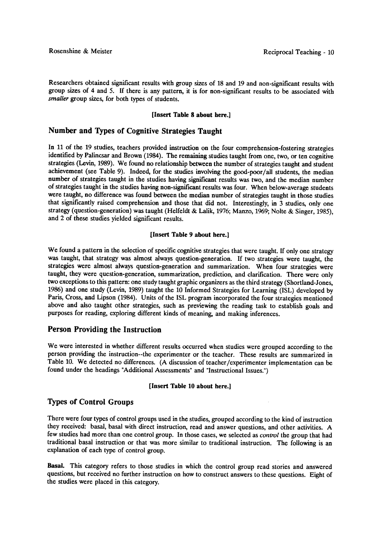Researchers obtained significant results with group sizes of 18 and 19 and non-significant results with group sizes of 4 and 5. If there is any pattern, it is for non-significant results to be associated with smaller group sizes, for both types of students.

#### [Insert Table 8 about here.]

#### Number and Types of Cognitive Strategies Taught

In 11 of the 19 studies, teachers provided instruction on the four comprehension-fostering strategies identified by Palincsar and Brown (1984). The remaining studies taught from one, two, or ten cognitive strategies (Levin, 1989). We found no relationship between the number of strategies taught and student achievement (see Table 9). Indeed, for the studies involving the good-poor/all students, the median number of strategies taught in the studies having significant results was two, and the median number of strategies taught in the studies having non-significant results was four. When below-average students were taught, no difference was found between the median number of strategies taught in those studies that significantly raised comprehension and those that did not. Interestingly, in 3 studies, only one strategy (question-generation) was taught (Helfeldt & Lalik, 1976; Manzo, 1969; Nolte & Singer, 1985), and 2 of these studies yielded significant results.

#### [Insert Table 9 about here.]

We found a pattern in the selection of specific cognitive strategies that were taught. If only one strategy was taught, that strategy was almost always question-generation. If two strategies were taught, the strategies were almost always question-generation and summarization. When four strategies were taught, they were question-generation, summarization, prediction, and clarification. There were only two exceptions to this pattern: one study taught graphic organizers as the third strategy (Shortland-Jones, 1986) and one study (Levin, 1989) taught the 10 Informed Strategies for Learning (ISL) developed by Paris, Cross, and Lipson (1984). Units of the ISL program incorporated the four strategies mentioned above and also taught other strategies, such as previewing the reading task to establish goals and purposes for reading, exploring different kinds of meaning, and making inferences.

#### Person Providing the Instruction

We were interested in whether different results occurred when studies were grouped according to the person providing the instruction--the experimenter or the teacher. These results are summarized in Table 10. We detected no differences. (A discussion of teacher/experimenter implementation can be found under the headings "Additional Assessments" and "Instructional Issues.")

#### [Insert Table 10 about here.]

#### **Types of Control Groups**

There were four types of control groups used in the studies, grouped according to the kind of instruction they received: basal, basal with direct instruction, read and answer questions, and other activities. A few studies had more than one control group. In those cases, we selected as control the group that had traditional basal instruction or that was more similar to traditional instruction. The following is an explanation of each type of control group.

Basal. This category refers to those studies in which the control group read stories and answered questions, but received no further instruction on how to construct answers to these questions. Eight of the studies were placed in this category.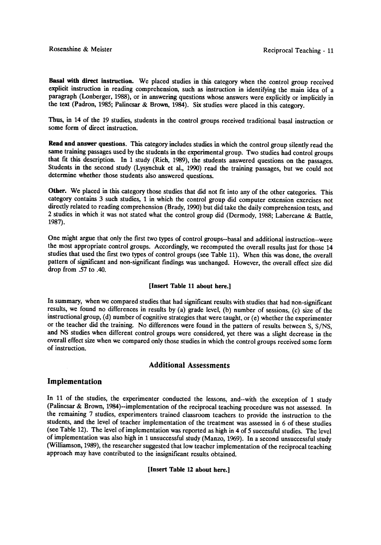Basal with direct instruction. We placed studies in this category when the control group received explicit instruction in reading comprehension, such as instruction in identifying the main idea of a paragraph (Lonberger, 1988), or in answering questions whose answers were explicitly or implicitly in the text (Padron, 1985; Palincsar & Brown, 1984). Six studies were placed in this category.

Thus, in 14 of the 19 studies, students in the control groups received traditional basal instruction or some form of direct instruction.

Read and answer questions. This category includes studies in which the control group silently read the same training passages used by the students in the experimental group. Two studies had control groups that fit this description. In 1 study (Rich, 1989), the students answered questions on the passages. Students in the second study (Lysynchuk et al., 1990) read the training passages, but we could not determine whether those students also answered questions.

Other. We placed in this category those studies that did not fit into any of the other categories. This category contains 3 such studies, 1 in which the control group did computer extension exercises not directly related to reading comprehension (Brady, 1990) but did take the daily comprehension tests, and 2 studies in which it was not stated what the control group did (Dermody, 1988; Labercane & Battle, 1987).

One might argue that only the first two types of control groups--basal and additional instruction--were the most appropriate control groups. Accordingly, we recomputed the overall results just for those 14 studies that used the first two types of control groups (see Table 11). When this was done, the overall pattern of significant and non-significant findings was unchanged. However, the overall effect size did drop from .57 to .40.

#### [Insert Table 11 about here.]

In summary, when we compared studies that had significant results with studies that had non-significant results, we found no differences in results by (a) grade level, (b) number of sessions, (c) size of the instructional group, (d) number of cognitive strategies that were taught, or (e) whether the experimenter or the teacher did the training. No differences were found in the pattern of results between S, S/NS, and NS studies when different control groups were considered, yet there was a slight decrease in the overall effect size when we compared only those studies in which the control groups received some form of instruction.

#### **Additional Assessments**

#### Implementation

In 11 of the studies, the experimenter conducted the lessons, and--with the exception of 1 study (Palincsar & Brown, 1984)--implementation of the reciprocal teaching procedure was not assessed. In the remaining 7 studies, experimenters trained classroom teachers to provide the instruction to the students, and the level of teacher implementation of the treatment was assessed in 6 of these studies (see Table 12). The level of implementation was reported as high in 4 of 5 successful studies. The level of implementation was also high in 1 unsuccessful study (Manzo, 1969). In a second unsuccessful study (Williamson, 1989), the researcher suggested that low teacher implementation of the reciprocal teaching approach may have contributed to the insignificant results obtained.

#### [Insert Table 12 about here.]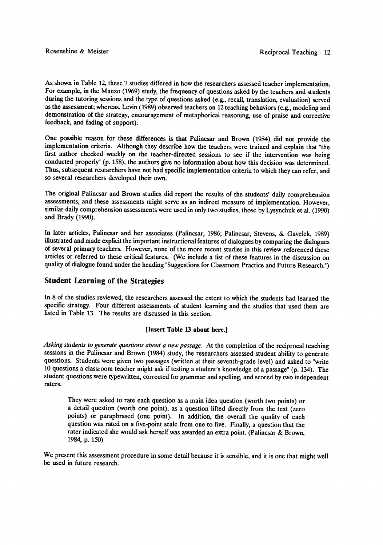As shown in Table 12, these 7 studies differed in how the researchers assessed teacher implementation. For example, in the Manzo (1969) study, the frequency of questions asked by the teachers and students during the tutoring sessions and the type of questions asked (e.g., recall, translation, evaluation) served as the assessment; whereas, Levin (1989) observed teachers on 12 teaching behaviors (e.g., modeling and demonstration of the strategy, encouragement of metaphorical reasoning, use of praise and corrective feedback, and fading of support).

One possible reason for these differences is that Palincsar and Brown (1984) did not provide the implementation criteria. Although they describe how the teachers were trained and explain that "the first author checked weekly on the teacher-directed sessions to see if the intervention was being conducted properly" (p. 158), the authors give no information about how this decision was determined. Thus, subsequent researchers have not had specific implementation criteria to which they can refer, and so several researchers developed their own.

The original Palincsar and Brown studies did report the results of the students' daily comprehension assessments, and these assessments might serve as an indirect measure of implementation. However, similar daily comprehension assessments were used in only two studies, those by Lysynchuk et al. (1990) and Brady (1990).

In later articles, Palincsar and her associates (Palincsar, 1986; Palincsar, Stevens, & Gavelek, 1989) illustrated and made explicit the important instructional features of dialogues by comparing the dialogues of several primary teachers. However, none of the more recent studies in this review referenced these articles or referred to these critical features. (We include a list of these features in the discussion on quality of dialogue found under the heading "Suggestions for Classroom Practice and Future Research.")

#### **Student Learning of the Strategies**

In 8 of the studies reviewed, the researchers assessed the extent to which the students had learned the specific strategy. Four different assessments of student learning and the studies that used them are listed in Table 13. The results are discussed in this section.

#### [Insert Table 13 about here.]

Asking students to generate questions about a new passage. At the completion of the reciprocal teaching sessions in the Palincsar and Brown (1984) study, the researchers assessed student ability to generate questions. Students were given two passages (written at their seventh-grade level) and asked to "write 10 questions a classroom teacher might ask if testing a student's knowledge of a passage" (p. 134). The student questions were typewritten, corrected for grammar and spelling, and scored by two independent raters.

They were asked to rate each question as a main idea question (worth two points) or a detail question (worth one point), as a question lifted directly from the text (zero points) or paraphrased (one point). In addition, the overall the quality of each question was rated on a five-point scale from one to five. Finally, a question that the rater indicated she would ask herself was awarded an extra point. (Palincsar & Brown, 1984, p. 150)

We present this assessment procedure in some detail because it is sensible, and it is one that might well be used in future research.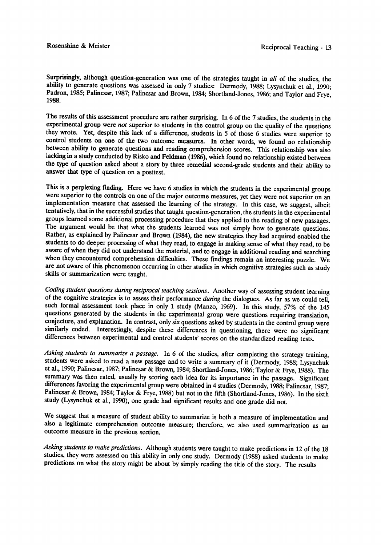Surprisingly, although question-generation was one of the strategies taught in all of the studies, the ability to generate questions was assessed in only 7 studies: Dermody, 1988; Lysynchuk et al., 1990; Padron, 1985; Palincsar, 1987; Palincsar and Brown, 1984; Shortland-Jones, 1986; and Taylor and Frye, 1988.

The results of this assessment procedure are rather surprising. In 6 of the 7 studies, the students in the experimental group were not superior to students in the control group on the quality of the questions they wrote. Yet, despite this lack of a difference, students in 5 of those 6 studies were superior to control students on one of the two outcome measures. In other words, we found no relationship between ability to generate questions and reading comprehension scores. This relationship was also lacking in a study conducted by Risko and Feldman (1986), which found no relationship existed between the type of question asked about a story by three remedial second-grade students and their ability to answer that type of question on a posttest.

This is a perplexing finding. Here we have 6 studies in which the students in the experimental groups were superior to the controls on one of the major outcome measures, yet they were not superior on an implementation measure that assessed the learning of the strategy. In this case, we suggest, albeit tentatively, that in the successful studies that taught question-generation, the students in the experimental groups learned some additional processing procedure that they applied to the reading of new passages. The argument would be that what the students learned was not simply how to generate questions. Rather, as explained by Palincsar and Brown (1984), the new strategies they had acquired enabled the students to do deeper processing of what they read, to engage in making sense of what they read, to be aware of when they did not understand the material, and to engage in additional reading and searching when they encountered comprehension difficulties. These findings remain an interesting puzzle. We are not aware of this phenomenon occurring in other studies in which cognitive strategies such as study skills or summarization were taught.

Coding student questions during reciprocal teaching sessions. Another way of assessing student learning of the cognitive strategies is to assess their performance during the dialogues. As far as we could tell, such formal assessment took place in only 1 study (Manzo, 1969). In this study, 57% of the 145 questions generated by the students in the experimental group were questions requiring translation, conjecture, and explanation. In contrast, only six questions asked by students in the control group were similarly coded. Interestingly, despite these differences in questioning, there were no significant differences between experimental and control students' scores on the standardized reading tests.

Asking students to summarize a passage. In 6 of the studies, after completing the strategy training, students were asked to read a new passage and to write a summary of it (Dermody, 1988; Lysynchuk et al., 1990; Palincsar, 1987; Palincsar & Brown, 1984; Shortland-Jones, 1986; Taylor & Frye, 1988). The summary was then rated, usually by scoring each idea for its importance in the passage. Significant differences favoring the experimental group were obtained in 4 studies (Dermody, 1988; Palincsar, 1987; Palincsar & Brown, 1984; Taylor & Frye, 1988) but not in the fifth (Shortland-Jones, 1986). In the sixth study (Lysynchuk et al., 1990), one grade had significant results and one grade did not.

We suggest that a measure of student ability to summarize is both a measure of implementation and also a legitimate comprehension outcome measure; therefore, we also used summarization as an outcome measure in the previous section.

Asking students to make predictions. Although students were taught to make predictions in 12 of the 18 studies, they were assessed on this ability in only one study. Dermody (1988) asked students to make predictions on what the story might be about by simply reading the title of the story. The results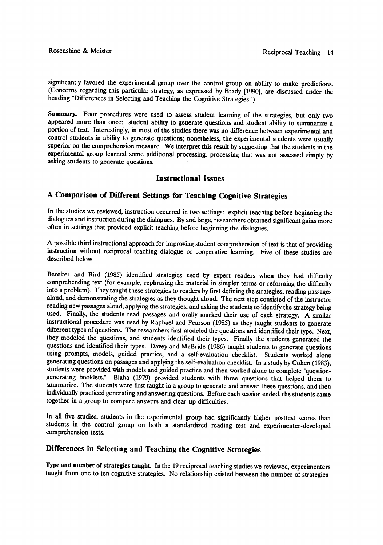significantly favored the experimental group over the control group on ability to make predictions. (Concerns regarding this particular strategy, as expressed by Brady [1990], are discussed under the heading "Differences in Selecting and Teaching the Cognitive Strategies.")

Summary. Four procedures were used to assess student learning of the strategies, but only two appeared more than once: student ability to generate questions and student ability to summarize a portion of text. Interestingly, in most of the studies there was no difference between experimental and control students in ability to generate questions; nonetheless, the experimental students were usually superior on the comprehension measure. We interpret this result by suggesting that the students in the experimental group learned some additional processing, processing that was not assessed simply by asking students to generate questions.

#### **Instructional Issues**

#### A Comparison of Different Settings for Teaching Cognitive Strategies

In the studies we reviewed, instruction occurred in two settings: explicit teaching before beginning the dialogues and instruction during the dialogues. By and large, researchers obtained significant gains more often in settings that provided explicit teaching before beginning the dialogues.

A possible third instructional approach for improving student comprehension of text is that of providing instruction without reciprocal teaching dialogue or cooperative learning. Five of these studies are described below.

Bereiter and Bird (1985) identified strategies used by expert readers when they had difficulty comprehending text (for example, rephrasing the material in simpler terms or reforming the difficulty into a problem). They taught these strategies to readers by first defining the strategies, reading passages aloud, and demonstrating the strategies as they thought aloud. The next step consisted of the instructor reading new passages aloud, applying the strategies, and asking the students to identify the strategy being used. Finally, the students read passages and orally marked their use of each strategy. A similar instructional procedure was used by Raphael and Pearson (1985) as they taught students to generate different types of questions. The researchers first modeled the questions and identified their type. Next, they modeled the questions, and students identified their types. Finally the students generated the questions and identified their types. Davey and McBride (1986) taught students to generate questions using prompts, models, guided practice, and a self-evaluation checklist. Students worked alone generating questions on passages and applying the self-evaluation checklist. In a study by Cohen (1983), students were provided with models and guided practice and then worked alone to complete "questiongenerating booklets." Blaha (1979) provided students with three questions that helped them to summarize. The students were first taught in a group to generate and answer these questions, and then individually practiced generating and answering questions. Before each session ended, the students came together in a group to compare answers and clear up difficulties.

In all five studies, students in the experimental group had significantly higher posttest scores than students in the control group on both a standardized reading test and experimenter-developed comprehension tests.

#### Differences in Selecting and Teaching the Cognitive Strategies

Type and number of strategies taught. In the 19 reciprocal teaching studies we reviewed, experimenters taught from one to ten cognitive strategies. No relationship existed between the number of strategies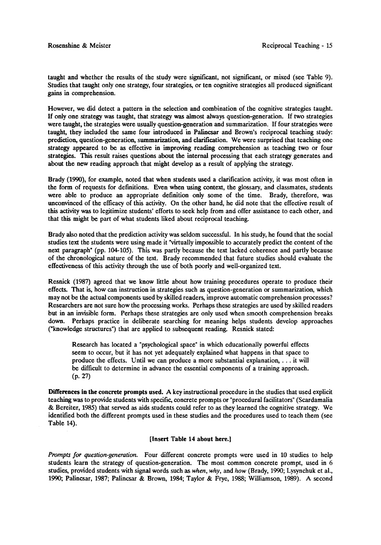taught and whether the results of the study were significant, not significant, or mixed (see Table 9). Studies that taught only one strategy, four strategies, or ten cognitive strategies all produced significant gains in comprehension.

However, we did detect a pattern in the selection and combination of the cognitive strategies taught. If only one strategy was taught, that strategy was almost always question-generation. If two strategies were taught, the strategies were usually question-generation and summarization. If four strategies were taught, they included the same four introduced in Palincsar and Brown's reciprocal teaching study: prediction, question-generation, summarization, and clarification. We were surprised that teaching one strategy appeared to be as effective in improving reading comprehension as teaching two or four strategies. This result raises questions about the internal processing that each strategy generates and about the new reading approach that might develop as a result of applying the strategy.

Brady (1990), for example, noted that when students used a clarification activity, it was most often in the form of requests for definitions. Even when using context, the glossary, and classmates, students were able to produce an appropriate definition only some of the time. Brady, therefore, was unconvinced of the efficacy of this activity. On the other hand, he did note that the effective result of this activity was to legitimize students' efforts to seek help from and offer assistance to each other, and that this might be part of what students liked about reciprocal teaching.

Brady also noted that the prediction activity was seldom successful. In his study, he found that the social studies text the students were using made it "virtually impossible to accurately predict the content of the next paragraph" (pp. 104-105). This was partly because the text lacked coherence and partly because of the chronological nature of the text. Brady recommended that future studies should evaluate the effectiveness of this activity through the use of both poorly and well-organized text.

Resnick (1987) agreed that we know little about how training procedures operate to produce their effects. That is, how can instruction in strategies such as question-generation or summarization, which may not be the actual components used by skilled readers, improve automatic comprehension processes? Researchers are not sure how the processing works. Perhaps these strategies are used by skilled readers but in an invisible form. Perhaps these strategies are only used when smooth comprehension breaks down. Perhaps practice in deliberate searching for meaning helps students develop approaches ("knowledge structures") that are applied to subsequent reading. Resnick stated:

Research has located a "psychological space" in which educationally powerful effects seem to occur, but it has not yet adequately explained what happens in that space to produce the effects. Until we can produce a more substantial explanation, . . . it will be difficult to determine in advance the essential components of a training approach.  $(p. 27)$ 

Differences in the concrete prompts used. A key instructional procedure in the studies that used explicit teaching was to provide students with specific, concrete prompts or "procedural facilitators" (Scardamalia & Bereiter, 1985) that served as aids students could refer to as they learned the cognitive strategy. We identified both the different prompts used in these studies and the procedures used to teach them (see Table 14).

#### [Insert Table 14 about here.]

Prompts for question-generation. Four different concrete prompts were used in 10 studies to help students learn the strategy of question-generation. The most common concrete prompt, used in 6 studies, provided students with signal words such as when, why, and how (Brady, 1990; Lysynchuk et al., 1990; Palincsar, 1987; Palincsar & Brown, 1984; Taylor & Frye, 1988; Williamson, 1989). A second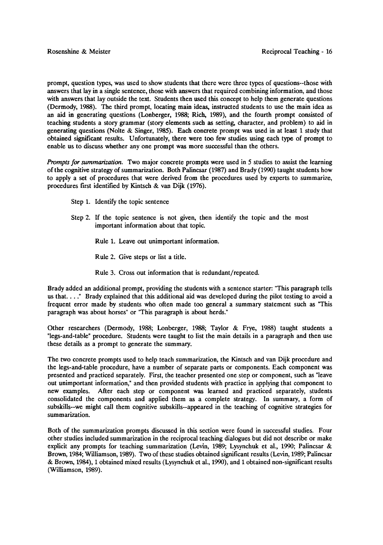prompt, question types, was used to show students that there were three types of questions--those with answers that lay in a single sentence, those with answers that required combining information, and those with answers that lay outside the text. Students then used this concept to help them generate questions (Dermody, 1988). The third prompt, locating main ideas, instructed students to use the main idea as an aid in generating questions (Lonberger, 1988; Rich, 1989), and the fourth prompt consisted of teaching students a story grammar (story elements such as setting, character, and problem) to aid in generating questions (Nolte & Singer, 1985). Each concrete prompt was used in at least 1 study that obtained significant results. Unfortunately, there were too few studies using each type of prompt to enable us to discuss whether any one prompt was more successful than the others.

*Prompts for summarization.* Two major concrete prompts were used in 5 studies to assist the learning of the cognitive strategy of summarization. Both Palincsar (1987) and Brady (1990) taught students how to apply a set of procedures that were derived from the procedures used by experts to summarize, procedures first identified by Kintsch & van Dijk (1976).

- Step 1. Identify the topic sentence
- Step 2. If the topic sentence is not given, then identify the topic and the most important information about that topic.
	- Rule 1. Leave out unimportant information.
	- Rule 2. Give steps or list a title.
	- Rule 3. Cross out information that is redundant/repeated.

Brady added an additional prompt, providing the students with a sentence starter: "This paragraph tells us that...." Brady explained that this additional aid was developed during the pilot testing to avoid a frequent error made by students who often made too general a summary statement such as "This paragraph was about horses" or "This paragraph is about herds."

Other researchers (Dermody, 1988; Lonberger, 1988; Taylor & Frye, 1988) taught students a "legs-and-table" procedure. Students were taught to list the main details in a paragraph and then use these details as a prompt to generate the summary.

The two concrete prompts used to help teach summarization, the Kintsch and van Dijk procedure and the legs-and-table procedure, have a number of separate parts or components. Each component was presented and practiced separately. First, the teacher presented one step or component, such as "leave out unimportant information," and then provided students with practice in applying that component to new examples. After each step or component was learned and practiced separately, students consolidated the components and applied them as a complete strategy. In summary, a form of subskills--we might call them cognitive subskills--appeared in the teaching of cognitive strategies for summarization.

Both of the summarization prompts discussed in this section were found in successful studies. Four other studies included summarization in the reciprocal teaching dialogues but did not describe or make explicit any prompts for teaching summarization (Levin, 1989; Lysynchuk et al., 1990; Palincsar & Brown, 1984; Williamson, 1989). Two of these studies obtained significant results (Levin, 1989; Palincsar & Brown, 1984), 1 obtained mixed results (Lysynchuk et al., 1990), and 1 obtained non-significant results (Williamson, 1989).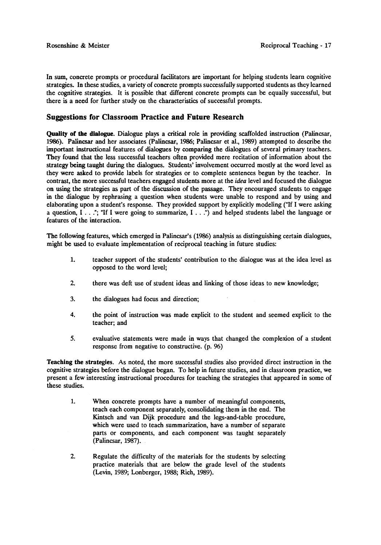In sum, concrete prompts or procedural facilitators are important for helping students learn cognitive strategies. In these studies, a variety of concrete prompts successfully supported students as they learned the cognitive strategies. It is possible that different concrete prompts can be equally successful, but there is a need for further study on the characteristics of successful prompts.

#### **Suggestions for Classroom Practice and Future Research**

Quality of the dialogue. Dialogue plays a critical role in providing scaffolded instruction (Palinesar, 1986). Palincsar and her associates (Palincsar, 1986; Palincsar et al., 1989) attempted to describe the important instructional features of dialogues by comparing the dialogues of several primary teachers. They found that the less successful teachers often provided mere recitation of information about the strategy being taught during the dialogues. Students' involvement occurred mostly at the word level as they were asked to provide labels for strategies or to complete sentences begun by the teacher. In contrast, the more successful teachers engaged students more at the *idea* level and focused the dialogue on using the strategies as part of the discussion of the passage. They encouraged students to engage in the dialogue by rephrasing a question when students were unable to respond and by using and elaborating upon a student's response. They provided support by explicitly modeling ("If I were asking a question,  $I \ldots$ "; "If I were going to summarize,  $I \ldots$ ") and helped students label the language or features of the interaction.

The following features, which emerged in Palincsar's (1986) analysis as distinguishing certain dialogues, might be used to evaluate implementation of reciprocal teaching in future studies:

- $1.$ teacher support of the students' contribution to the dialogue was at the idea level as opposed to the word level;
- $2.$ there was deft use of student ideas and linking of those ideas to new knowledge;
- $3<sub>1</sub>$ the dialogues had focus and direction;
- $\boldsymbol{4}$ . the point of instruction was made explicit to the student and seemed explicit to the teacher; and
- 5. evaluative statements were made in ways that changed the complexion of a student response from negative to constructive. (p. 96)

Teaching the strategies. As noted, the more successful studies also provided direct instruction in the cognitive strategies before the dialogue began. To help in future studies, and in classroom practice, we present a few interesting instructional procedures for teaching the strategies that appeared in some of these studies.

- $1.$ When concrete prompts have a number of meaningful components, teach each component separately, consolidating them in the end. The Kintsch and van Dijk procedure and the legs-and-table procedure, which were used to teach summarization, have a number of separate parts or components, and each component was taught separately (Palincsar, 1987).
- $2.$ Regulate the difficulty of the materials for the students by selecting practice materials that are below the grade level of the students (Levin, 1989; Lonberger, 1988; Rich, 1989).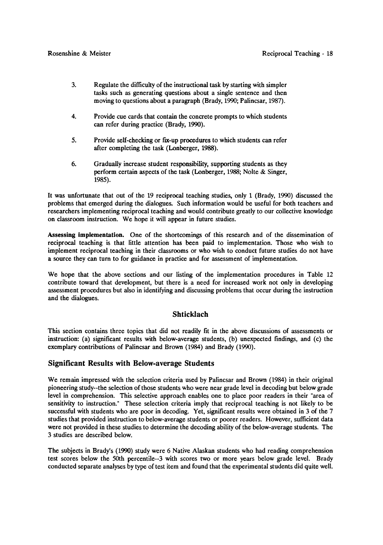- $3.$ Regulate the difficulty of the instructional task by starting with simpler tasks such as generating questions about a single sentence and then moving to questions about a paragraph (Brady, 1990; Palincsar, 1987).
- Provide cue cards that contain the concrete prompts to which students  $\overline{4}$ . can refer during practice (Brady, 1990).
- 5. Provide self-checking or fix-up procedures to which students can refer after completing the task (Lonberger, 1988).
- Gradually increase student responsibility, supporting students as they 6. perform certain aspects of the task (Lonberger, 1988; Nolte & Singer, 1985).

It was unfortunate that out of the 19 reciprocal teaching studies, only 1 (Brady, 1990) discussed the problems that emerged during the dialogues. Such information would be useful for both teachers and researchers implementing reciprocal teaching and would contribute greatly to our collective knowledge on classroom instruction. We hope it will appear in future studies.

Assessing implementation. One of the shortcomings of this research and of the dissemination of reciprocal teaching is that little attention has been paid to implementation. Those who wish to implement reciprocal teaching in their classrooms or who wish to conduct future studies do not have a source they can turn to for guidance in practice and for assessment of implementation.

We hope that the above sections and our listing of the implementation procedures in Table 12 contribute toward that development, but there is a need for increased work not only in developing assessment procedures but also in identifying and discussing problems that occur during the instruction and the dialogues.

#### **Shticklach**

This section contains three topics that did not readily fit in the above discussions of assessments or instruction: (a) significant results with below-average students, (b) unexpected findings, and (c) the exemplary contributions of Palincsar and Brown (1984) and Brady (1990).

#### **Significant Results with Below-average Students**

We remain impressed with the selection criteria used by Palincsar and Brown (1984) in their original pioneering study--the selection of those students who were near grade level in decoding but below grade level in comprehension. This selective approach enables one to place poor readers in their "area of sensitivity to instruction." These selection criteria imply that reciprocal teaching is not likely to be successful with students who are poor in decoding. Yet, significant results were obtained in 3 of the 7 studies that provided instruction to below-average students or poorer readers. However, sufficient data were not provided in these studies to determine the decoding ability of the below-average students. The 3 studies are described below.

The subjects in Brady's (1990) study were 6 Native Alaskan students who had reading comprehension test scores below the 50th percentile--3 with scores two or more years below grade level. Brady conducted separate analyses by type of test item and found that the experimental students did quite well.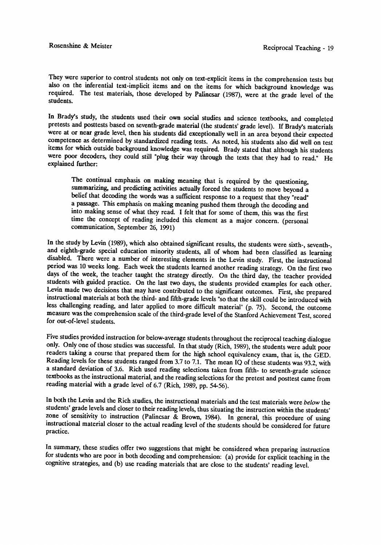They were superior to control students not only on text-explicit items in the comprehension tests but also on the inferential text-implicit items and on the items for which background knowledge was required. The test materials, those developed by Palincsar (1987), were at the grade level of the students.

In Brady's study, the students used their own social studies and science textbooks, and completed pretests and posttests based on seventh-grade material (the students' grade level). If Brady's materials were at or near grade level, then his students did exceptionally well in an area beyond their expected competence as determined by standardized reading tests. As noted, his students also did well on test items for which outside background knowledge was required. Brady stated that although his students were poor decoders, they could still "plug their way through the texts that they had to read." He explained further:

The continual emphasis on making meaning that is required by the questioning, summarizing, and predicting activities actually forced the students to move beyond a belief that decoding the words was a sufficient response to a request that they "read" a passage. This emphasis on making meaning pushed them through the decoding and into making sense of what they read. I felt that for some of them, this was the first time the concept of reading included this element as a major concern. (personal communication, September 26, 1991)

In the study by Levin (1989), which also obtained significant results, the students were sixth-, seventh-, and eighth-grade special education minority students, all of whom had been classified as learning disabled. There were a number of interesting elements in the Levin study. First, the instructional period was 10 weeks long. Each week the students learned another reading strategy. On the first two days of the week, the teacher taught the strategy directly. On the third day, the teacher provided students with guided practice. On the last two days, the students provided examples for each other. Levin made two decisions that may have contributed to the significant outcomes. First, she prepared instructional materials at both the third- and fifth-grade levels "so that the skill could be introduced with less challenging reading, and later applied to more difficult material" (p. 75). Second, the outcome measure was the comprehension scale of the third-grade level of the Stanford Achievement Test, scored for out-of-level students.

Five studies provided instruction for below-average students throughout the reciprocal teaching dialogue only. Only one of those studies was successful. In that study (Rich, 1989), the students were adult poor readers taking a course that prepared them for the high school equivalency exam, that is, the GED. Reading levels for these students ranged from 3.7 to 7.1. The mean IQ of these students was 93.2, with a standard deviation of 3.6. Rich used reading selections taken from fifth- to seventh-grade science textbooks as the instructional material, and the reading selections for the pretest and posttest came from reading material with a grade level of 6.7 (Rich, 1989, pp. 54-56).

In both the Levin and the Rich studies, the instructional materials and the test materials were below the students' grade levels and closer to their reading levels, thus situating the instruction within the students' zone of sensitivity to instruction (Palincsar & Brown, 1984). In general, this procedure of using instructional material closer to the actual reading level of the students should be considered for future practice.

In summary, these studies offer two suggestions that might be considered when preparing instruction for students who are poor in both decoding and comprehension: (a) provide for explicit teaching in the cognitive strategies, and (b) use reading materials that are close to the students' reading level.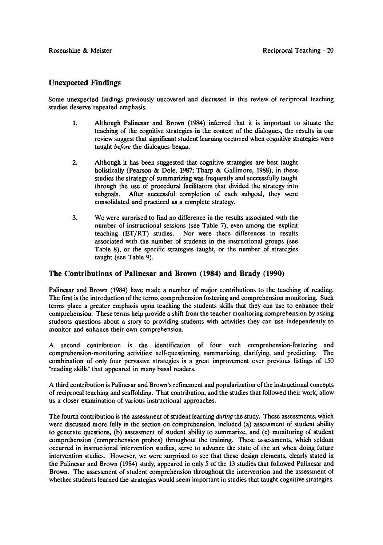#### **Unexpected Findings**

Some unexpected findings previously uncovered and discussed in this review of reciprocal teaching studies deserve repeated emphasis.

- $\mathbf{1}$ Although Palincsar and Brown (1984) inferred that it is important to situate the teaching of the cognitive strategies in the context of the dialogues, the results in our review suggest that significant student learning occurred when cognitive strategies were taught before the dialogues began.
- Although it has been suggested that cognitive strategies are best taught  $2<sup>1</sup>$ holistically (Pearson & Dole, 1987; Tharp & Gallimore, 1988), in these studies the strategy of summarizing was frequently and successfully taught through the use of procedural facilitators that divided the strategy into After successful completion of each subgoal, they were subgoals. consolidated and practiced as a complete strategy.
- $3.$ We were surprised to find no difference in the results associated with the number of instructional sessions (see Table 7), even among the explicit teaching  $(ET/RT)$  studies. Nor were there differences in results associated with the number of students in the instructional groups (see Table 8), or the specific strategies taught, or the number of strategies taught (see Table 9).

#### The Contributions of Palincsar and Brown (1984) and Brady (1990)

Palincsar and Brown (1984) have made a number of major contributions to the teaching of reading. The first is the introduction of the terms comprehension fostering and comprehension monitoring. Such terms place a greater emphasis upon teaching the students skills that they can use to enhance their comprehension. These terms help provide a shift from the teacher monitoring comprehension by asking students questions about a story to providing students with activities they can use independently to monitor and enhance their own comprehension.

A second contribution is the identification of four such comprehension-fostering and comprehension-monitoring activities: self-questioning, summarizing, clarifying, and predicting. The combination of only four pervasive strategies is a great improvement over previous listings of 150 "reading skills" that appeared in many basal readers.

A third contribution is Palincsar and Brown's refinement and popularization of the instructional concepts of reciprocal teaching and scaffolding. That contribution, and the studies that followed their work, allow us a closer examination of various instructional approaches.

The fourth contribution is the assessment of student learning *during* the study. These assessments, which were discussed more fully in the section on comprehension, included (a) assessment of student ability to generate questions, (b) assessment of student ability to summarize, and (c) monitoring of student comprehension (comprehension probes) throughout the training. These assessments, which seldom occurred in instructional intervention studies, serve to advance the state of the art when doing future intervention studies. However, we were surprised to see that these design elements, clearly stated in the Palincsar and Brown (1984) study, appeared in only 5 of the 13 studies that followed Palincsar and Brown. The assessment of student comprehension throughout the intervention and the assessment of whether students learned the strategies would seem important in studies that taught cognitive strategies.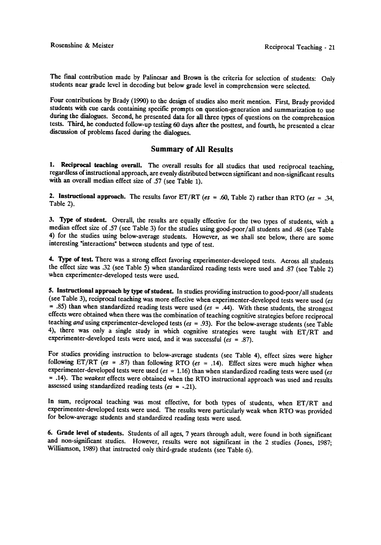The final contribution made by Palincsar and Brown is the criteria for selection of students: Only students near grade level in decoding but below grade level in comprehension were selected.

Four contributions by Brady (1990) to the design of studies also merit mention. First, Brady provided students with cue cards containing specific prompts on question-generation and summarization to use during the dialogues. Second, he presented data for all three types of questions on the comprehension tests. Third, he conducted follow-up testing 60 days after the posttest, and fourth, he presented a clear discussion of problems faced during the dialogues.

#### **Summary of All Results**

1. Reciprocal teaching overall. The overall results for all studies that used reciprocal teaching, regardless of instructional approach, are evenly distributed between significant and non-significant results with an overall median effect size of .57 (see Table 1).

2. Instructional approach. The results favor ET/RT (es = .60, Table 2) rather than RTO (es = .34, Table 2).

3. Type of student. Overall, the results are equally effective for the two types of students, with a median effect size of .57 (see Table 3) for the studies using good-poor/all students and .48 (see Table 4) for the studies using below-average students. However, as we shall see below, there are some interesting "interactions" between students and type of test.

4. Type of test. There was a strong effect favoring experimenter-developed tests. Across all students the effect size was .32 (see Table 5) when standardized reading tests were used and .87 (see Table 2) when experimenter-developed tests were used.

5. Instructional approach by type of student. In studies providing instruction to good-poor/all students (see Table 3), reciprocal teaching was more effective when experimenter-developed tests were used (es = .85) than when standardized reading tests were used ( $es = .44$ ). With these students, the strongest effects were obtained when there was the combination of teaching cognitive strategies before reciprocal teaching and using experimenter-developed tests ( $es = .93$ ). For the below-average students (see Table 4), there was only a single study in which cognitive strategies were taught with ET/RT and experimenter-developed tests were used, and it was successful ( $es = .87$ ).

For studies providing instruction to below-average students (see Table 4), effect sizes were higher following ET/RT (es = .87) than following RTO (es = .14). Effect sizes were much higher when experimenter-developed tests were used ( $es = 1.16$ ) than when standardized reading tests were used ( $es$ = .14). The weakest effects were obtained when the RTO instructional approach was used and results assessed using standardized reading tests ( $es = -.21$ ).

In sum, reciprocal teaching was most effective, for both types of students, when ET/RT and experimenter-developed tests were used. The results were particularly weak when RTO was provided for below-average students and standardized reading tests were used.

6. Grade level of students. Students of all ages, 7 years through adult, were found in both significant and non-significant studies. However, results were not significant in the 2 studies (Jones, 1987; Williamson, 1989) that instructed only third-grade students (see Table 6).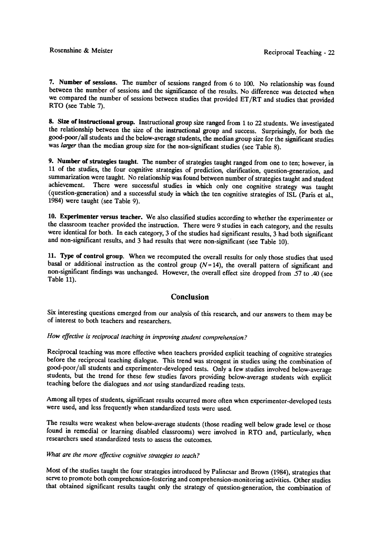7. Number of sessions. The number of sessions ranged from 6 to 100. No relationship was found between the number of sessions and the significance of the results. No difference was detected when we compared the number of sessions between studies that provided ET/RT and studies that provided RTO (see Table 7).

8. Size of instructional group. Instructional group size ranged from 1 to 22 students. We investigated the relationship between the size of the instructional group and success. Surprisingly, for both the good-poor/all students and the below-average students, the median group size for the significant studies was larger than the median group size for the non-significant studies (see Table 8).

9. Number of strategies taught. The number of strategies taught ranged from one to ten; however, in 11 of the studies, the four cognitive strategies of prediction, clarification, question-generation, and summarization were taught. No relationship was found between number of strategies taught and student There were successful studies in which only one cognitive strategy was taught achievement. (question-generation) and a successful study in which the ten cognitive strategies of ISL (Paris et al., 1984) were taught (see Table 9).

10. Experimenter versus teacher. We also classified studies according to whether the experimenter or the classroom teacher provided the instruction. There were 9 studies in each category, and the results were identical for both. In each category, 3 of the studies had significant results, 3 had both significant and non-significant results, and 3 had results that were non-significant (see Table 10).

11. Type of control group. When we recomputed the overall results for only those studies that used basal or additional instruction as the control group ( $N=14$ ), the overall pattern of significant and non-significant findings was unchanged. However, the overall effect size dropped from .57 to .40 (see Table 11).

#### Conclusion

Six interesting questions emerged from our analysis of this research, and our answers to them may be of interest to both teachers and researchers.

### How effective is reciprocal teaching in improving student comprehension?

Reciprocal teaching was more effective when teachers provided explicit teaching of cognitive strategies before the reciprocal teaching dialogue. This trend was strongest in studies using the combination of good-poor/all students and experimenter-developed tests. Only a few studies involved below-average students, but the trend for these few studies favors providing below-average students with explicit teaching before the dialogues and not using standardized reading tests.

Among all types of students, significant results occurred more often when experimenter-developed tests were used, and less frequently when standardized tests were used.

The results were weakest when below-average students (those reading well below grade level or those found in remedial or learning disabled classrooms) were involved in RTO and, particularly, when researchers used standardized tests to assess the outcomes.

#### What are the more effective cognitive strategies to teach?

Most of the studies taught the four strategies introduced by Palincsar and Brown (1984), strategies that serve to promote both comprehension-fostering and comprehension-monitoring activities. Other studies that obtained significant results taught only the strategy of question-generation, the combination of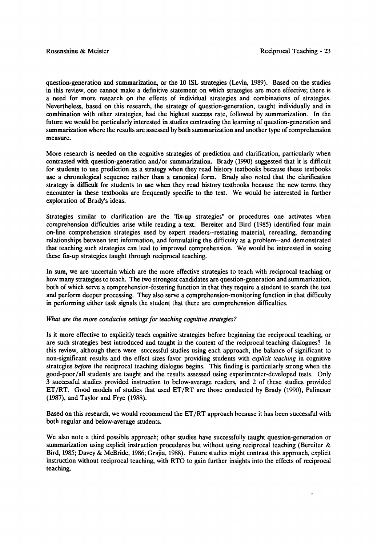question-generation and summarization, or the 10 ISL strategies (Levin, 1989). Based on the studies in this review, one cannot make a definitive statement on which strategies are more effective; there is a need for more research on the effects of individual strategies and combinations of strategies. Nevertheless, based on this research, the strategy of question-generation, taught individually and in combination with other strategies, had the highest success rate, followed by summarization. In the future we would be particularly interested in studies contrasting the learning of question-generation and summarization where the results are assessed by both summarization and another type of comprehension measure.

More research is needed on the cognitive strategies of prediction and clarification, particularly when contrasted with question-generation and/or summarization. Brady (1990) suggested that it is difficult for students to use prediction as a strategy when they read history textbooks because these textbooks use a chronological sequence rather than a canonical form. Brady also noted that the clarification strategy is difficult for students to use when they read history textbooks because the new terms they encounter in these textbooks are frequently specific to the text. We would be interested in further exploration of Brady's ideas.

Strategies similar to clarification are the "fix-up strategies" or procedures one activates when comprehension difficulties arise while reading a text. Bereiter and Bird (1985) identified four main on-line comprehension strategies used by expert readers--restating material, rereading, demanding relationships between text information, and formulating the difficulty as a problem--and demonstrated that teaching such strategies can lead to improved comprehension. We would be interested in seeing these fix-up strategies taught through reciprocal teaching.

In sum, we are uncertain which are the more effective strategies to teach with reciprocal teaching or how many strategies to teach. The two strongest candidates are question-generation and summarization, both of which serve a comprehension-fostering function in that they require a student to search the text and perform deeper processing. They also serve a comprehension-monitoring function in that difficulty in performing either task signals the student that there are comprehension difficulties.

#### What are the more conducive settings for teaching cognitive strategies?

Is it more effective to explicitly teach cognitive strategies before beginning the reciprocal teaching, or are such strategies best introduced and taught in the context of the reciprocal teaching dialogues? In this review, although there were successful studies using each approach, the balance of significant to non-significant results and the effect sizes favor providing students with explicit teaching in cognitive strategies before the reciprocal teaching dialogue begins. This finding is particularly strong when the good-poor/all students are taught and the results assessed using experimenter-developed tests. Only 3 successful studies provided instruction to below-average readers, and 2 of these studies provided ET/RT. Good models of studies that used ET/RT are those conducted by Brady (1990), Palincsar (1987), and Taylor and Frye (1988).

Based on this research, we would recommend the ET/RT approach because it has been successful with both regular and below-average students.

We also note a third possible approach; other studies have successfully taught question-generation or summarization using explicit instruction procedures but without using reciprocal teaching (Bereiter  $\&$ Bird, 1985; Davey & McBride, 1986; Grajia, 1988). Future studies might contrast this approach, explicit instruction without reciprocal teaching, with RTO to gain further insights into the effects of reciprocal teaching.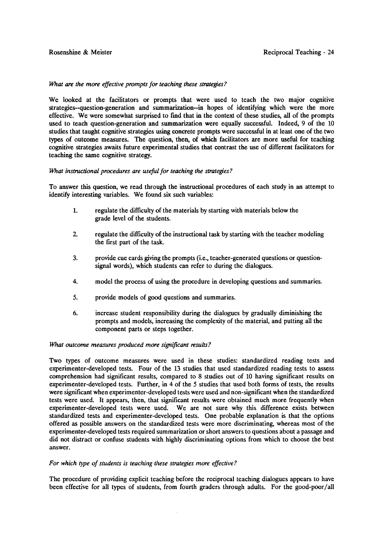#### What are the more effective prompts for teaching these strategies?

We looked at the facilitators or prompts that were used to teach the two major cognitive strategies--question-generation and summarization--in hopes of identifying which were the more effective. We were somewhat surprised to find that in the context of these studies, all of the prompts used to teach question-generation and summarization were equally successful. Indeed, 9 of the 10 studies that taught cognitive strategies using concrete prompts were successful in at least one of the two types of outcome measures. The question, then, of which facilitators are more useful for teaching cognitive strategies awaits future experimental studies that contrast the use of different facilitators for teaching the same cognitive strategy.

#### What instructional procedures are useful for teaching the strategies?

To answer this question, we read through the instructional procedures of each study in an attempt to identify interesting variables. We found six such variables:

- $1.$ regulate the difficulty of the materials by starting with materials below the grade level of the students.
- $2.$ regulate the difficulty of the instructional task by starting with the teacher modeling the first part of the task.
- 3. provide cue cards giving the prompts (i.e., teacher-generated questions or questionsignal words), which students can refer to during the dialogues.
- $4.$ model the process of using the procedure in developing questions and summaries.
- 5. provide models of good questions and summaries.
- 6. increase student responsibility during the dialogues by gradually diminishing the prompts and models, increasing the complexity of the material, and putting all the component parts or steps together.

#### What outcome measures produced more significant results?

Two types of outcome measures were used in these studies: standardized reading tests and experimenter-developed tests. Four of the 13 studies that used standardized reading tests to assess comprehension had significant results, compared to 8 studies out of 10 having significant results on experimenter-developed tests. Further, in 4 of the 5 studies that used both forms of tests, the results were significant when experimenter-developed tests were used and non-significant when the standardized tests were used. It appears, then, that significant results were obtained much more frequently when experimenter-developed tests were used. We are not sure why this difference exists between standardized tests and experimenter-developed tests. One probable explanation is that the options offered as possible answers on the standardized tests were more discriminating, whereas most of the experimenter-developed tests required summarization or short answers to questions about a passage and did not distract or confuse students with highly discriminating options from which to choose the best answer.

#### For which type of students is teaching these strategies more effective?

The procedure of providing explicit teaching before the reciprocal teaching dialogues appears to have been effective for all types of students, from fourth graders through adults. For the good-poor/all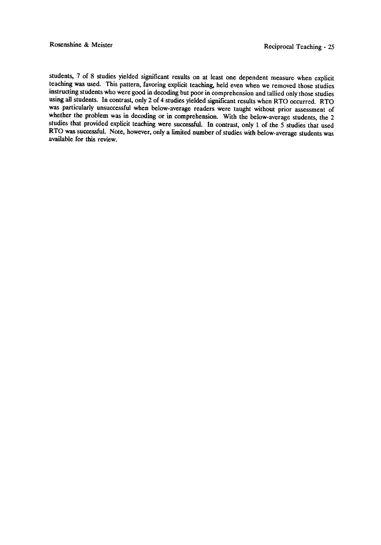students, 7 of 8 studies yielded significant results on at least one dependent measure when explicit teaching was used. This pattern, favoring explicit teaching, held even when we removed those studies instructing students who were good in decoding but poor in comprehension and tallied only those studies using all students. In contrast, only 2 of 4 studies yielded significant results when RTO occurred. RTO was particularly unsuccessful when below-average readers were taught without prior assessment of whether the problem was in decoding or in comprehension. With the below-average students, the 2 studies that provided explicit teaching were successful. In contrast, only 1 of the 5 studies that used RTO was successful. Note, however, only a limited number of studies with below-average students was available for this review.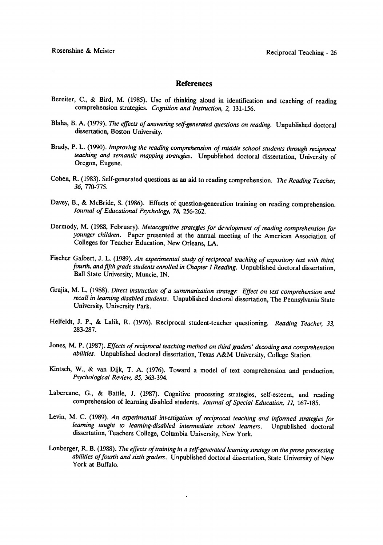#### **References**

- Bereiter, C., & Bird, M. (1985). Use of thinking aloud in identification and teaching of reading comprehension strategies. Cognition and Instruction, 2, 131-156.
- Blaha, B. A. (1979). The effects of answering self-generated questions on reading. Unpublished doctoral dissertation, Boston University.
- Brady, P. L. (1990). Improving the reading comprehension of middle school students through reciprocal teaching and semantic mapping strategies. Unpublished doctoral dissertation, University of Oregon, Eugene.
- Cohen, R. (1983). Self-generated questions as an aid to reading comprehension. The Reading Teacher, 36, 770-775.
- Davey, B., & McBride, S. (1986). Effects of question-generation training on reading comprehension. Journal of Educational Psychology, 78, 256-262.
- Dermody, M. (1988, February). Metacognitive strategies for development of reading comprehension for younger children. Paper presented at the annual meeting of the American Association of Colleges for Teacher Education, New Orleans, LA.
- Fischer Galbert, J. L. (1989). An experimental study of reciprocal teaching of expository text with third, fourth, and fifth grade students enrolled in Chapter 1 Reading. Unpublished doctoral dissertation, Ball State University, Muncie, IN.
- Grajia, M. L. (1988). Direct instruction of a summarization strategy: Effect on text comprehension and recall in learning disabled students. Unpublished doctoral dissertation, The Pennsylvania State University, University Park.
- Helfeldt, J. P., & Lalik, R. (1976). Reciprocal student-teacher questioning. Reading Teacher, 33, 283-287.
- Jones, M. P. (1987). Effects of reciprocal teaching method on third graders' decoding and comprehension abilities. Unpublished doctoral dissertation, Texas A&M University, College Station.
- Kintsch, W., & van Dijk, T. A. (1976). Toward a model of text comprehension and production. Psychological Review, 85, 363-394.
- Labercane, G., & Battle, J. (1987). Cognitive processing strategies, self-esteem, and reading comprehension of learning disabled students. Journal of Special Education, 11, 167-185.
- Levin, M. C. (1989). An experimental investigation of reciprocal teaching and informed strategies for learning taught to learning-disabled intermediate school learners. Unpublished doctoral dissertation, Teachers College, Columbia University, New York.
- Lonberger, R. B. (1988). The effects of training in a self-generated learning strategy on the prose processing abilities of fourth and sixth graders. Unpublished doctoral dissertation, State University of New York at Buffalo.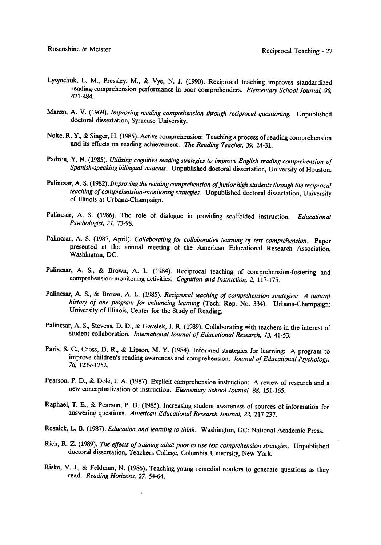- Lysynchuk, L. M., Pressley, M., & Vye, N. J. (1990). Reciprocal teaching improves standardized reading-comprehension performance in poor comprehenders. Elementary School Journal, 90, 471-484.
- Manzo, A. V. (1969). Improving reading comprehension through reciprocal questioning. Unpublished doctoral dissertation, Syracuse University.
- Nolte, R. Y., & Singer, H. (1985). Active comprehension: Teaching a process of reading comprehension and its effects on reading achievement. The Reading Teacher, 39, 24-31.
- Padron, Y. N. (1985). Utilizing cognitive reading strategies to improve English reading comprehension of Spanish-speaking bilingual students. Unpublished doctoral dissertation, University of Houston.
- Palincsar, A. S. (1982). Improving the reading comprehension of junior high students through the reciprocal teaching of comprehension-monitoring strategies. Unpublished doctoral dissertation, University of Illinois at Urbana-Champaign.
- Palincsar, A. S. (1986). The role of dialogue in providing scaffolded instruction. Educational Psychologist, 21, 73-98.
- Palincsar, A. S. (1987, April). Collaborating for collaborative learning of text comprehension. Paper presented at the annual meeting of the American Educational Research Association, Washington, DC.
- Palincsar, A. S., & Brown, A. L. (1984). Reciprocal teaching of comprehension-fostering and comprehension-monitoring activities. Cognition and Instruction, 2, 117-175.
- Palincsar, A. S., & Brown, A. L. (1985). Reciprocal teaching of comprehension strategies: A natural history of one program for enhancing learning (Tech. Rep. No. 334). Urbana-Champaign: University of Illinois, Center for the Study of Reading.
- Palincsar, A. S., Stevens, D. D., & Gavelek, J. R. (1989). Collaborating with teachers in the interest of student collaboration. International Journal of Educational Research, 13, 41-53.
- Paris, S. C., Cross, D. R., & Lipson, M. Y. (1984). Informed strategies for learning: A program to improve children's reading awareness and comprehension. Journal of Educational Psychology, 76, 1239-1252.
- Pearson, P. D., & Dole, J. A. (1987). Explicit comprehension instruction: A review of research and a new conceptualization of instruction. Elementary School Journal, 88, 151-165.
- Raphael, T. E., & Pearson, P. D. (1985). Increasing student awareness of sources of information for answering questions. American Educational Research Journal, 22, 217-237.
- Resnick, L. B. (1987). Education and learning to think. Washington, DC: National Academic Press.
- Rich, R. Z. (1989). The effects of training adult poor to use text comprehension strategies. Unpublished doctoral dissertation, Teachers College, Columbia University, New York.
- Risko, V. J., & Feldman, N. (1986). Teaching young remedial readers to generate questions as they read. Reading Horizons, 27, 54-64.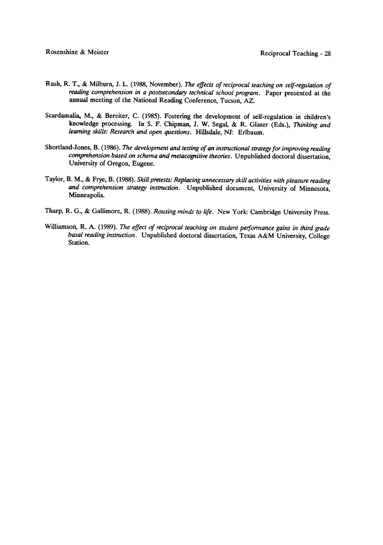- Rush, R. T., & Milburn, J. L. (1988, November). The effects of reciprocal teaching on self-regulation of reading comprehension in a postsecondary technical school program. Paper presented at the annual meeting of the National Reading Conference, Tucson, AZ.
- Scardamalia, M., & Bereiter, C. (1985). Fostering the development of self-regulation in children's knowledge processing. In S. F. Chipman, J. W. Segal, & R. Glaser (Eds.), Thinking and learning skills: Research and open questions. Hillsdale, NJ: Erlbaum.
- Shortland-Jones, B. (1986). The development and testing of an instructional strategy for improving reading comprehension based on schema and metacognitive theories. Unpublished doctoral dissertation. University of Oregon, Eugene.
- Taylor, B. M., & Frye, B. (1988). Skill pretests: Replacing unnecessary skill activities with pleasure reading and comprehension strategy instruction. Unpublished document, University of Minnesota. Minneapolis.
- Tharp, R. G., & Gallimore, R. (1988). Rousing minds to life. New York: Cambridge University Press.
- Williamson, R. A. (1989). The effect of reciprocal teaching on student performance gains in third grade basal reading instruction. Unpublished doctoral dissertation, Texas A&M University, College Station.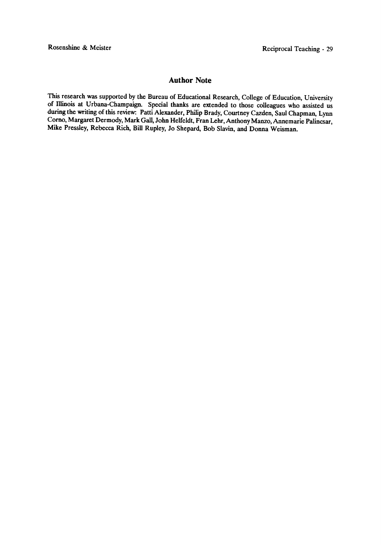#### **Author Note**

This research was supported by the Bureau of Educational Research, College of Education, University of Illinois at Urbana-Champaign. Special thanks are extended to those colleagues who assisted us during the writing of this review: Patti Alexander, Philip Brady, Courtney Cazden, Saul Chapman, Lynn Corno, Margaret Dermody, Mark Gall, John Helfeldt, Fran Lehr, Anthony Manzo, Annemarie Palincsar, Mike Pressley, Rebecca Rich, Bill Rupley, Jo Shepard, Bob Slavin, and Donna Weisman.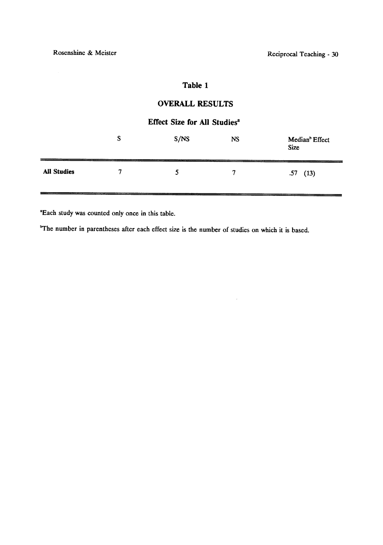## **OVERALL RESULTS**

## Effect Size for All Studies<sup>a</sup>

|                    | S | S/NS | <b>NS</b> | Median <sup>b</sup> Effect<br><b>Size</b> |
|--------------------|---|------|-----------|-------------------------------------------|
| <b>All Studies</b> | − | ↖    | ┑         | .57<br>(13)                               |

 $\bar{z}$ 

<sup>a</sup>Each study was counted only once in this table.

"The number in parentheses after each effect size is the number of studies on which it is based.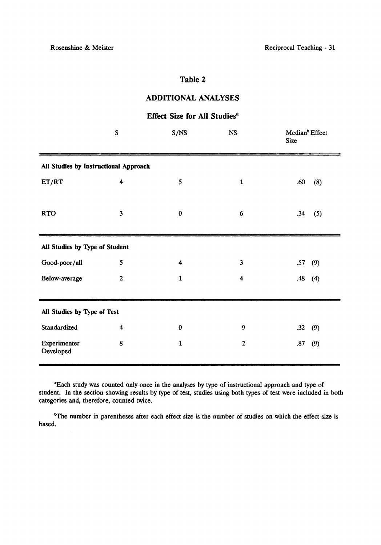Reciprocal Teaching - 31

## Table 2

## **ADDITIONAL ANALYSES**

### **Effect Size for All Studies<sup>a</sup>**

|                                       | $\mathbf S$             | S/NS         | NS               | Median <sup>b</sup> Effect<br><b>Size</b> |  |  |  |
|---------------------------------------|-------------------------|--------------|------------------|-------------------------------------------|--|--|--|
| All Studies by Instructional Approach |                         |              |                  |                                           |  |  |  |
| ET/RT                                 | 4                       | 5            | $\mathbf{1}$     | .60<br>(8)                                |  |  |  |
| <b>RTO</b>                            | $\overline{\mathbf{3}}$ | $\bf{0}$     | 6                | (5)<br>.34                                |  |  |  |
| All Studies by Type of Student        |                         |              |                  |                                           |  |  |  |
| Good-poor/all                         | 5                       | 4            | 3                | $.57$ (9)                                 |  |  |  |
| Below-average                         | $\mathbf 2$             | $\mathbf{1}$ | 4                | .48(4)                                    |  |  |  |
|                                       |                         |              |                  |                                           |  |  |  |
| All Studies by Type of Test           |                         |              |                  |                                           |  |  |  |
| Standardized                          | $\overline{\mathbf{4}}$ | $\bf{0}$     | 9                | .32<br>(9)                                |  |  |  |
| Experimenter<br>Developed             | $\bf 8$                 | $\mathbf{1}$ | $\boldsymbol{2}$ | .87<br>(9)                                |  |  |  |

<sup>a</sup>Each study was counted only once in the analyses by type of instructional approach and type of student. In the section showing results by type of test, studies using both types of test were included in both categories and, therefore, counted twice.

<sup>b</sup>The number in parentheses after each effect size is the number of studies on which the effect size is based.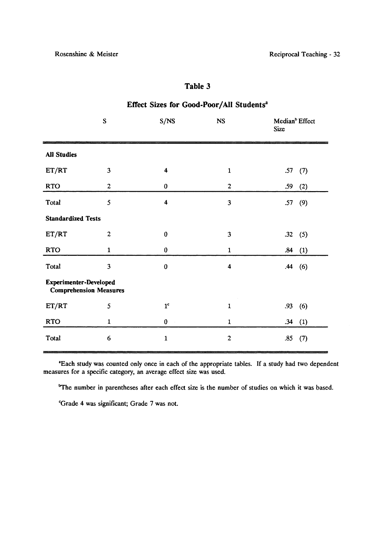|                                                                | S              | S/NS                    | <b>NS</b>        | Median <sup>b</sup> Effect<br><b>Size</b> |  |  |
|----------------------------------------------------------------|----------------|-------------------------|------------------|-------------------------------------------|--|--|
| <b>All Studies</b>                                             |                |                         |                  |                                           |  |  |
| ET/RT                                                          | 3              | $\overline{\mathbf{4}}$ | $\mathbf{1}$     | .57<br>(7)                                |  |  |
| <b>RTO</b>                                                     | $\overline{2}$ | $\bf{0}$                | $\overline{c}$   | .59<br>(2)                                |  |  |
| Total                                                          | 5              | $\overline{\mathbf{4}}$ | 3                | .57<br>(9)                                |  |  |
| <b>Standardized Tests</b>                                      |                |                         |                  |                                           |  |  |
| ET/RT                                                          | $\overline{c}$ | $\bf{0}$                | 3                | .32<br>(5)                                |  |  |
| <b>RTO</b>                                                     | $\mathbf{1}$   | $\bf{0}$                | $\mathbf{1}$     | .84<br>(1)                                |  |  |
| Total                                                          | 3              | $\bf{0}$                | 4                | (6)<br>.44                                |  |  |
| <b>Experimenter-Developed</b><br><b>Comprehension Measures</b> |                |                         |                  |                                           |  |  |
| ET/RT                                                          | 5              | $1^{\circ}$             | $\mathbf{1}$     | .93<br>(6)                                |  |  |
| <b>RTO</b>                                                     | 1              | $\bf{0}$                | $\mathbf{1}$     | (1)<br>.34                                |  |  |
| Total                                                          | 6              | $\mathbf{1}$            | $\boldsymbol{2}$ | .85<br>(7)                                |  |  |

## Effect Sizes for Good-Poor/All Students<sup>a</sup>

<sup>a</sup>Each study was counted only once in each of the appropriate tables. If a study had two dependent measures for a specific category, an average effect size was used.

<sup>b</sup>The number in parentheses after each effect size is the number of studies on which it was based.

'Grade 4 was significant; Grade 7 was not.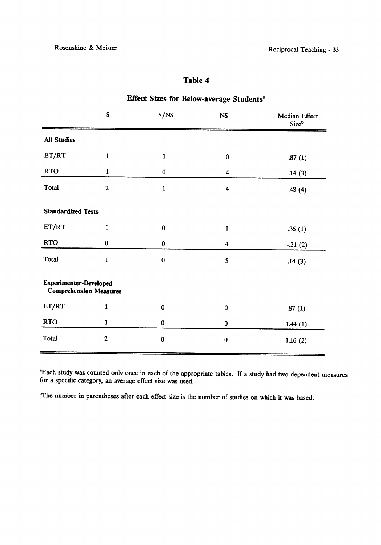|                                                                | $\mathbf S$  | S/NS         | <b>NS</b>               | <b>Median Effect</b><br>Size <sup>b</sup> |  |  |
|----------------------------------------------------------------|--------------|--------------|-------------------------|-------------------------------------------|--|--|
| <b>All Studies</b>                                             |              |              |                         |                                           |  |  |
| ET/RT                                                          | $\mathbf{1}$ | $\mathbf{1}$ | $\pmb{0}$               | .87(1)                                    |  |  |
| <b>RTO</b>                                                     | $\mathbf{1}$ | $\bf{0}$     | $\overline{\mathbf{4}}$ | .14(3)                                    |  |  |
| Total                                                          | $\mathbf{2}$ | $\mathbf{1}$ | $\boldsymbol{4}$        | .48(4)                                    |  |  |
| <b>Standardized Tests</b>                                      |              |              |                         |                                           |  |  |
| ET/RT                                                          | $\mathbf{1}$ | $\bf{0}$     | $\mathbf{1}$            | .36(1)                                    |  |  |
| <b>RTO</b>                                                     | $\bf{0}$     | $\bf{0}$     | $\overline{\mathbf{4}}$ | $-.21(2)$                                 |  |  |
| Total                                                          | $\mathbf{1}$ | $\bf{0}$     | 5                       | .14(3)                                    |  |  |
| <b>Experimenter-Developed</b><br><b>Comprehension Measures</b> |              |              |                         |                                           |  |  |
| ET/RT                                                          | $\mathbf{1}$ | $\bf{0}$     | $\bf{0}$                | .87(1)                                    |  |  |
| <b>RTO</b>                                                     | $\mathbf{1}$ | $\bf{0}$     | $\bf{0}$                | 1.44(1)                                   |  |  |
| Total                                                          | $\mathbf{2}$ | $\bf{0}$     | $\bf{0}$                | 1.16(2)                                   |  |  |

## Effect Sizes for Below-average Students<sup>a</sup>

<sup>a</sup>Each study was counted only once in each of the appropriate tables. If a study had two dependent measures for a specific category, an average effect size was used.

"The number in parentheses after each effect size is the number of studies on which it was based.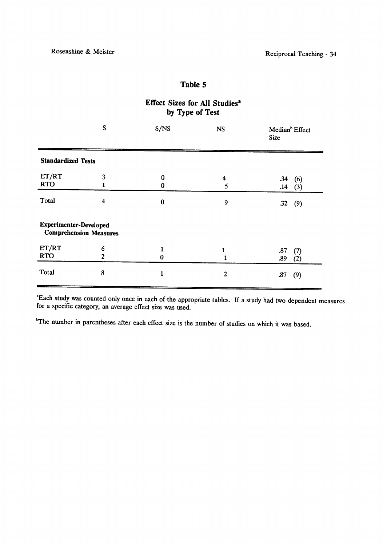**Effect Sizes for All Studies<sup>a</sup>** 

|                               | by Type of Test               |              |                   |                                    |  |  |  |
|-------------------------------|-------------------------------|--------------|-------------------|------------------------------------|--|--|--|
|                               | S                             | S/NS         | NS                | Median <sup>b</sup> Effect<br>Size |  |  |  |
| <b>Standardized Tests</b>     |                               |              |                   |                                    |  |  |  |
| ET/RT<br><b>RTO</b>           | 3                             | 0<br>0       | 4<br>5            | .34<br>(6)<br>.14<br>(3)           |  |  |  |
| Total                         | 4                             | $\bf{0}$     | 9                 | (9)<br>.32                         |  |  |  |
| <b>Experimenter-Developed</b> | <b>Comprehension Measures</b> |              |                   |                                    |  |  |  |
| ET/RT<br><b>RTO</b>           | 6<br>2                        | 1<br>0       | $\mathbf{1}$<br>1 | .87<br>(7)<br>.89<br>(2)           |  |  |  |
| Total                         | 8                             | $\mathbf{1}$ | $\overline{2}$    | .87<br>(9)                         |  |  |  |

<sup>a</sup>Each study was counted only once in each of the appropriate tables. If a study had two dependent measures for a specific category, an average effect size was used.

<sup>b</sup>The number in parentheses after each effect size is the number of studies on which it was based.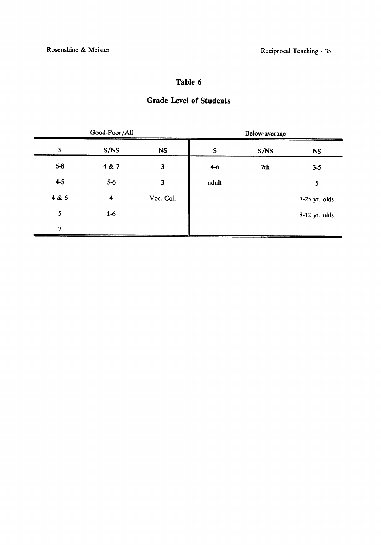## **Grade Level of Students**

|             | Good-Poor/All |           | Below-average |      |               |
|-------------|---------------|-----------|---------------|------|---------------|
| $\mathbf S$ | S/NS          | <b>NS</b> | S             | S/NS | <b>NS</b>     |
| $6 - 8$     | 4 & 7         | 3         | $4-6$         | 7th  | $3 - 5$       |
| $4-5$       | $5-6$         | 3         | adult         |      | 5             |
| 4 & 6       | 4             | Voc. Col. |               |      | 7-25 yr. olds |
| 5           | $1-6$         |           |               |      | 8-12 yr. olds |
| 7           |               |           |               |      |               |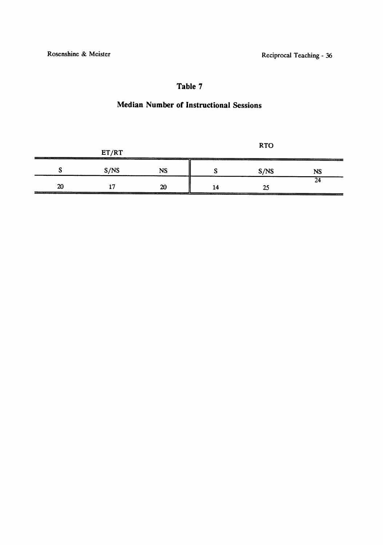## **Median Number of Instructional Sessions**

| ET/RT<br>_____<br>_________ |      |    | and many states the members of the control of the present present presented presented in the first state of the present | <b>RTO</b> |    |
|-----------------------------|------|----|-------------------------------------------------------------------------------------------------------------------------|------------|----|
|                             | S/NS | NS |                                                                                                                         | S/NS       | NS |
| 20<br>_________             | 15   | 20 |                                                                                                                         | 25         | 2a |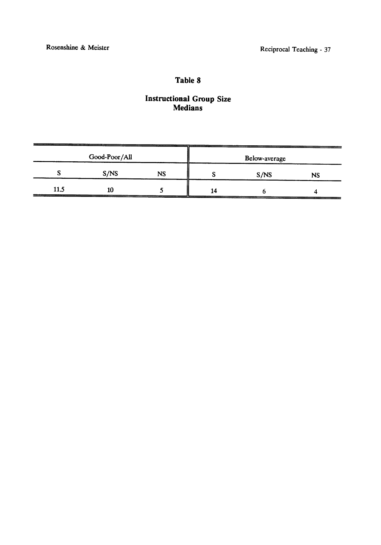## **Instructional Group Size Medians**

| Good-Poor/All |      |    | Below-average |    |
|---------------|------|----|---------------|----|
|               | S/NS | NS | S/NS          | NS |
| 11.5          | 10   |    |               |    |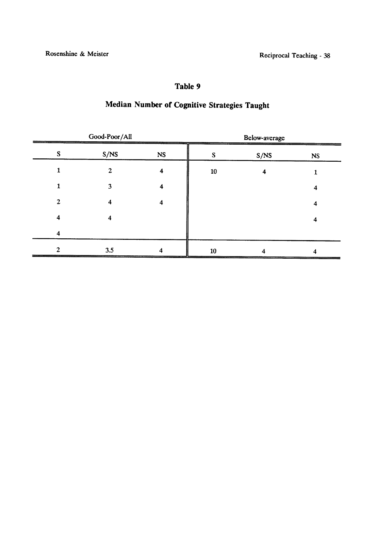## Median Number of Cognitive Strategies Taught

|   | Good-Poor/All |           |    | Below-average |           |
|---|---------------|-----------|----|---------------|-----------|
| S | S/NS          | <b>NS</b> |    | S/NS          | <b>NS</b> |
|   | $\mathcal{P}$ |           | 10 |               |           |
|   | э             |           |    |               | Δ         |
| 2 |               |           |    |               | Δ         |
|   | Δ             |           |    |               | 4         |
| 4 |               |           |    |               |           |
|   | 3.5           |           | 10 |               |           |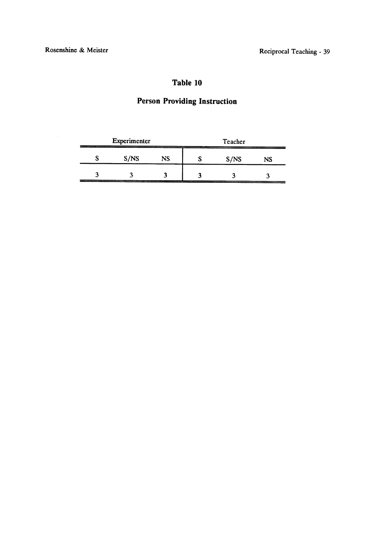## **Person Providing Instruction**

| Experimenter |      |    | Teacher |        |    |
|--------------|------|----|---------|--------|----|
|              | S/NS | NS |         | S/NS   | NS |
|              |      |    |         | ______ |    |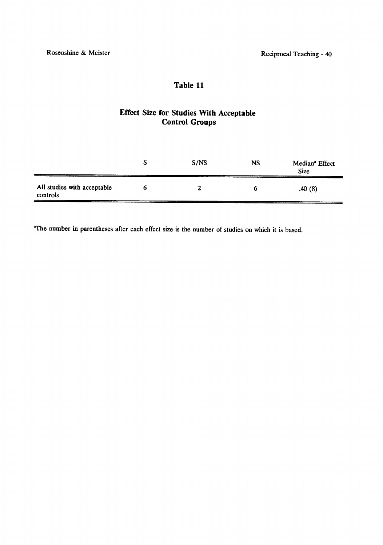## **Effect Size for Studies With Acceptable Control Groups**

|                                         | S/NS | NS | Median <sup>ª</sup> Effect<br><b>Size</b> |
|-----------------------------------------|------|----|-------------------------------------------|
| All studies with acceptable<br>controls |      |    | .40(8)                                    |

 $\hat{\mathcal{A}}$ 

"The number in parentheses after each effect size is the number of studies on which it is based.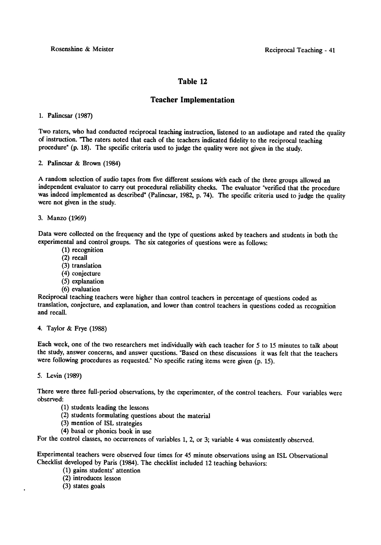#### **Teacher Implementation**

1. Palincsar (1987)

Two raters, who had conducted reciprocal teaching instruction, listened to an audiotape and rated the quality of instruction. "The raters noted that each of the teachers indicated fidelity to the reciprocal teaching procedure" (p. 18). The specific criteria used to judge the quality were not given in the study.

2. Palincsar & Brown (1984)

A random selection of audio tapes from five different sessions with each of the three groups allowed an independent evaluator to carry out procedural reliability checks. The evaluator "verified that the procedure was indeed implemented as described" (Palincsar, 1982, p. 74). The specific criteria used to judge the quality were not given in the study.

#### 3. Manzo (1969)

Data were collected on the frequency and the type of questions asked by teachers and students in both the experimental and control groups. The six categories of questions were as follows:

- (1) recognition
- $(2)$  recall
- (3) translation
- (4) conjecture
- (5) explanation
- (6) evaluation

Reciprocal teaching teachers were higher than control teachers in percentage of questions coded as translation, conjecture, and explanation, and lower than control teachers in questions coded as recognition and recall.

4. Taylor & Frye (1988)

Each week, one of the two researchers met individually with each teacher for 5 to 15 minutes to talk about the study, answer concerns, and answer questions. "Based on these discussions it was felt that the teachers were following procedures as requested." No specific rating items were given (p. 15).

#### 5. Levin (1989)

There were three full-period observations, by the experimenter, of the control teachers. Four variables were observed:

- (1) students leading the lessons
- (2) students formulating questions about the material
- (3) mention of ISL strategies
- (4) basal or phonics book in use

For the control classes, no occurrences of variables 1, 2, or 3; variable 4 was consistently observed.

Experimental teachers were observed four times for 45 minute observations using an ISL Observational Checklist developed by Paris (1984). The checklist included 12 teaching behaviors:

- (1) gains students' attention
- (2) introduces lesson
- (3) states goals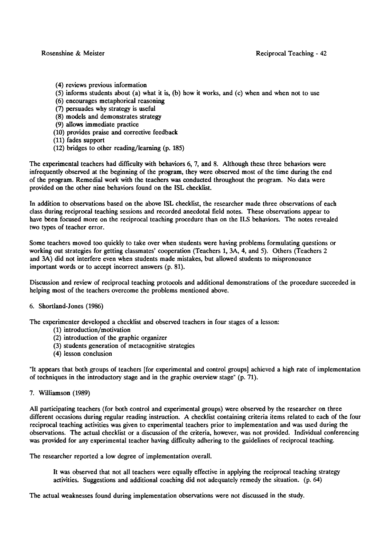- (4) reviews previous information
- (5) informs students about (a) what it is, (b) how it works, and (c) when and when not to use
- (6) encourages metaphorical reasoning
- (7) persuades why strategy is useful
- (8) models and demonstrates strategy
- (9) allows immediate practice
- (10) provides praise and corrective feedback
- (11) fades support
- (12) bridges to other reading/learning (p. 185)

The experimental teachers had difficulty with behaviors 6, 7, and 8. Although these three behaviors were infrequently observed at the beginning of the program, they were observed most of the time during the end of the program. Remedial work with the teachers was conducted throughout the program. No data were provided on the other nine behaviors found on the ISL checklist.

In addition to observations based on the above ISL checklist, the researcher made three observations of each class during reciprocal teaching sessions and recorded anecdotal field notes. These observations appear to have been focused more on the reciprocal teaching procedure than on the ILS behaviors. The notes revealed two types of teacher error.

Some teachers moved too quickly to take over when students were having problems formulating questions or working out strategies for getting classmates' cooperation (Teachers 1, 3A, 4, and 5). Others (Teachers 2 and 3A) did not interfere even when students made mistakes, but allowed students to mispronounce important words or to accept incorrect answers (p. 81).

Discussion and review of reciprocal teaching protocols and additional demonstrations of the procedure succeeded in helping most of the teachers overcome the problems mentioned above.

#### 6. Shortland-Jones (1986)

The experimenter developed a checklist and observed teachers in four stages of a lesson:

- (1) introduction/motivation
- (2) introduction of the graphic organizer
- (3) students generation of metacognitive strategies
- (4) lesson conclusion

"It appears that both groups of teachers [for experimental and control groups] achieved a high rate of implementation of techniques in the introductory stage and in the graphic overview stage" (p. 71).

7. Williamson (1989)

All participating teachers (for both control and experimental groups) were observed by the researcher on three different occasions during regular reading instruction. A checklist containing criteria items related to each of the four reciprocal teaching activities was given to experimental teachers prior to implementation and was used during the observations. The actual checklist or a discussion of the criteria, however, was not provided. Individual conferencing was provided for any experimental teacher having difficulty adhering to the guidelines of reciprocal teaching.

The researcher reported a low degree of implementation overall.

It was observed that not all teachers were equally effective in applying the reciprocal teaching strategy activities. Suggestions and additional coaching did not adequately remedy the situation. (p. 64)

The actual weaknesses found during implementation observations were not discussed in the study.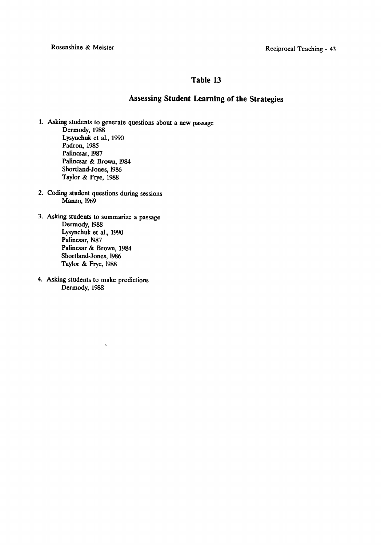#### Assessing Student Learning of the Strategies

1. Asking students to generate questions about a new passage Dermody, 1988 Lysynchuk et al., 1990 Padron, 1985 Palincsar, 1987 Palincsar & Brown, 1984 Shortland-Jones, 1986 Taylor & Frye, 1988

- 2. Coding student questions during sessions Manzo, 1969
- 3. Asking students to summarize a passage Dermody, 1988 Lysynchuk et al., 1990 Palincsar, 1987 Palincsar & Brown, 1984 Shortland-Jones, 1986 Taylor & Frye, 1988
- 4. Asking students to make predictions Dermody, 1988

 $\bar{\epsilon}$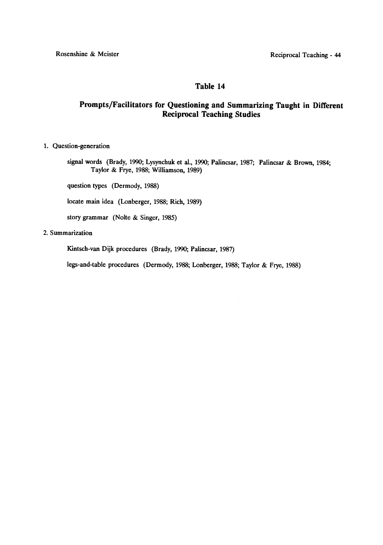Rosenshine & Meister

Reciprocal Teaching - 44

#### Table 14

## Prompts/Facilitators for Questioning and Summarizing Taught in Different **Reciprocal Teaching Studies**

#### 1. Question-generation

signal words (Brady, 1990; Lysynchuk et al., 1990; Palincsar, 1987; Palincsar & Brown, 1984; Taylor & Frye, 1988; Williamson, 1989)

question types (Dermody, 1988)

locate main idea (Lonberger, 1988; Rich, 1989)

story grammar (Nolte & Singer, 1985)

#### 2. Summarization

Kintsch-van Dijk procedures (Brady, 1990; Palincsar, 1987)

legs-and-table procedures (Dermody, 1988; Lonberger, 1988; Taylor & Frye, 1988)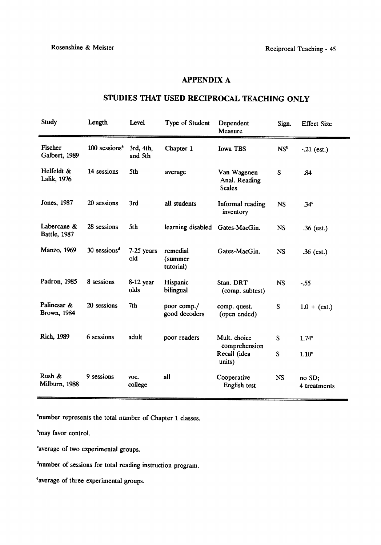#### **APPENDIX A**

## STUDIES THAT USED RECIPROCAL TEACHING ONLY

| Study                               | Length                     | Level                | Type of Student                  | Dependent<br>Measure                          | Sign.           | <b>Effect Size</b>     |
|-------------------------------------|----------------------------|----------------------|----------------------------------|-----------------------------------------------|-----------------|------------------------|
| Fischer<br>Galbert, 1989            | 100 sessions <sup>a</sup>  | 3rd, 4th,<br>and 5th | Chapter 1                        | <b>Iowa TBS</b>                               | NS <sup>b</sup> | $-.21$ (est.)          |
| Helfeldt &<br>Lalik, 1976           | 14 sessions                | 5th                  | average                          | Van Wagenen<br>Anal. Reading<br><b>Scales</b> | S               | .84                    |
| Jones, 1987                         | 20 sessions                | 3rd                  | all students                     | Informal reading<br>inventory                 | <b>NS</b>       | .34 <sup>c</sup>       |
| Labercane &<br><b>Battle</b> , 1987 | 28 sessions                | 5th                  | learning disabled                | Gates-MacGin.                                 | <b>NS</b>       | $.36$ (est.)           |
| Manzo, 1969                         | $30$ sessions <sup>d</sup> | $7-25$ years<br>old  | remedial<br>(summer<br>tutorial) | Gates-MacGin.                                 | <b>NS</b>       | .36 (est.)             |
| Padron, 1985                        | 8 sessions                 | 8-12 year<br>olds    | Hispanic<br>bilingual            | Stan. DRT<br>(comp. subtest)                  | <b>NS</b>       | $-0.55$                |
| Palincsar &<br>Brown, 1984          | 20 sessions                | 7th                  | poor comp./<br>good decoders     | comp. quest.<br>(open ended)                  | S               | $1.0 + (est.)$         |
| Rich, 1989                          | 6 sessions                 | adult                | poor readers                     | Mult. choice<br>comprehension                 | S               | $1.74$ <sup>e</sup>    |
|                                     |                            |                      |                                  | Recall (idea<br>units)                        | S               | 1.10 <sup>e</sup>      |
| Rush $\&$<br>Milburn, 1988          | 9 sessions                 | VOC.<br>college      | all                              | Cooperative<br>English test                   | <b>NS</b>       | no SD;<br>4 treatments |

<sup>a</sup>number represents the total number of Chapter 1 classes.

<sup>b</sup>may favor control.

'average of two experimental groups.

<sup>d</sup>number of sessions for total reading instruction program.

'average of three experimental groups.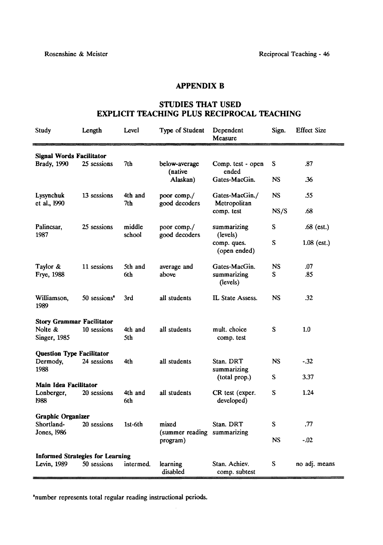### **APPENDIX B**

## **STUDIES THAT USED EXPLICIT TEACHING PLUS RECIPROCAL TEACHING**

| Study                                   | Length                   | Level            | Type of Student                      | Dependent<br>Measure           | Sign.         | <b>Effect Size</b> |
|-----------------------------------------|--------------------------|------------------|--------------------------------------|--------------------------------|---------------|--------------------|
| <b>Signal Words Facilitator</b>         |                          |                  |                                      |                                |               |                    |
| <b>Brady</b> , 1990                     | 25 sessions              | 7th              | below-average<br>(native             | Comp. test - open<br>ended     | S             | .87                |
|                                         |                          |                  | Alaskan)                             | Gates-MacGin.                  | <b>NS</b>     | .36                |
| Lysynchuk<br>et al., 1990               | 13 sessions              | 4th and<br>7th   | poor comp./<br>good decoders         | Gates-MacGin./<br>Metropolitan | <b>NS</b>     | .55                |
|                                         |                          |                  |                                      | comp. test                     | NS/S          | .68                |
| Palincsar,<br>1987                      | 25 sessions              | middle<br>school | poor comp./<br>good decoders         | summarizing<br>(levels)        | S             | $.68$ (est.)       |
|                                         |                          |                  |                                      | comp. ques.<br>(open ended)    | ${\mathbb S}$ | $1.08$ (est.)      |
| Taylor &                                | 11 sessions              | 5th and          | average and                          | Gates-MacGin.                  | <b>NS</b>     | .07                |
| Frye, 1988                              |                          | 6th              | above                                | summarizing<br>(levels)        | S             | .85                |
| Williamson,<br>1989                     | 50 sessions <sup>a</sup> | 3rd              | all students                         | IL State Assess.               | <b>NS</b>     | .32                |
| <b>Story Grammar Facilitator</b>        |                          |                  |                                      |                                |               |                    |
| Nolte $\&$<br><b>Singer</b> , 1985      | 10 sessions              | 4th and<br>5th   | all students                         | mult. choice<br>comp. test     | S             | 1.0                |
| <b>Question Type Facilitator</b>        |                          |                  |                                      |                                |               |                    |
| Dermody,<br>1988                        | 24 sessions              | 4th              | all students                         | Stan. DRT<br>summarizing       | <b>NS</b>     | $-32$              |
| Main Idea Facilitator                   |                          |                  |                                      | (total prop.)                  | S             | 3.37               |
| Lonberger,<br>1988                      | 20 sessions              | 4th and<br>6th   | all students                         | CR test (exper.<br>developed)  | S             | 1.24               |
| <b>Graphic Organizer</b>                |                          |                  |                                      |                                |               |                    |
| Shortland-<br>Jones, 1986               | 20 sessions              | 1st-6th          | mixed<br>(summer reading summarizing | Stan. DRT                      | S             | .77                |
|                                         |                          |                  | program)                             |                                | <b>NS</b>     | $-.02$             |
| <b>Informed Strategies for Learning</b> |                          |                  |                                      |                                |               |                    |
| Levin, 1989                             | 50 sessions              | intermed.        | learning<br>disabled                 | Stan. Achiev.<br>comp. subtest | S             | no adj. means      |

 $\cdot$ 

\*number represents total regular reading instructional periods.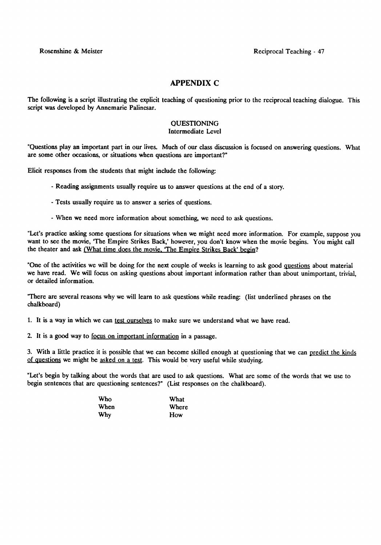Rosenshine & Meister

Reciprocal Teaching - 47

#### **APPENDIX C**

The following is a script illustrating the explicit teaching of questioning prior to the reciprocal teaching dialogue. This script was developed by Annemarie Palincsar.

### **OUESTIONING**

#### Intermediate Level

"Questions play an important part in our lives. Much of our class discussion is focused on answering questions. What are some other occasions, or situations when questions are important?"

Elicit responses from the students that might include the following:

- Reading assignments usually require us to answer questions at the end of a story.
- Tests usually require us to answer a series of questions.
- When we need more information about something, we need to ask questions.

"Let's practice asking some questions for situations when we might need more information. For example, suppose you want to see the movie, 'The Empire Strikes Back,' however, you don't know when the movie begins. You might call the theater and ask (What time does the movie, 'The Empire Strikes Back' begin?

"One of the activities we will be doing for the next couple of weeks is learning to ask good questions about material we have read. We will focus on asking questions about important information rather than about unimportant, trivial, or detailed information.

"There are several reasons why we will learn to ask questions while reading: (list underlined phrases on the chalkboard)

1. It is a way in which we can test ourselves to make sure we understand what we have read.

2. It is a good way to <u>focus</u> on important information in a passage.

3. With a little practice it is possible that we can become skilled enough at questioning that we can predict the kinds of questions we might be asked on a test. This would be very useful while studying.

"Let's begin by talking about the words that are used to ask questions. What are some of the words that we use to begin sentences that are questioning sentences?" (List responses on the chalkboard).

| Who  | What  |
|------|-------|
| When | Where |
| Why  | How   |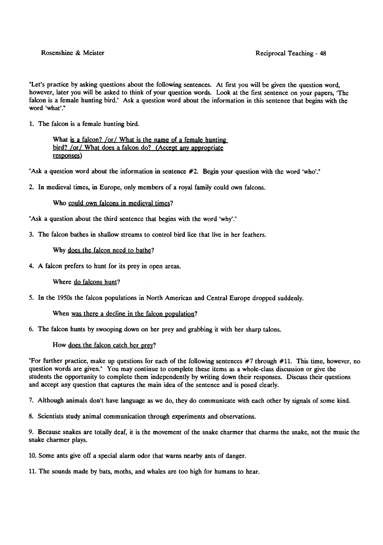"Let's practice by asking questions about the following sentences. At first you will be given the question word, however, later you will be asked to think of your question words. Look at the first sentence on your papers, 'The falcon is a female hunting bird.' Ask a question word about the information in this sentence that begins with the word 'what'."

1. The falcon is a female hunting bird.

What is a falcon? /or/ What is the name of a female hunting bird? /or/ What does a falcon do? (Accept any appropriate responses)

"Ask a question word about the information in sentence  $#2$ . Begin your question with the word 'who'."

2. In medieval times, in Europe, only members of a royal family could own falcons.

#### Who could own falcons in medieval times?

"Ask a question about the third sentence that begins with the word 'why'."

3. The falcon bathes in shallow streams to control bird lice that live in her feathers.

#### Why does the falcon need to bathe?

4. A falcon prefers to hunt for its prey in open areas.

Where do falcons hunt?

5. In the 1950s the falcon populations in North American and Central Europe dropped suddenly.

#### When was there a decline in the falcon population?

6. The falcon hunts by swooping down on her prey and grabbing it with her sharp talons.

#### How does the falcon catch her prey?

"For further practice, make up questions for each of the following sentences #7 through #11. This time, however, no question words are given." You may continue to complete these items as a whole-class discussion or give the students the opportunity to complete them independently by writing down their responses. Discuss their questions and accept any question that captures the main idea of the sentence and is posed clearly.

7. Although animals don't have language as we do, they do communicate with each other by signals of some kind.

8. Scientists study animal communication through experiments and observations.

9. Because snakes are totally deaf, it is the movement of the snake charmer that charms the snake, not the music the snake charmer plays.

10. Some ants give off a special alarm odor that warns nearby ants of danger.

11. The sounds made by bats, moths, and whales are too high for humans to hear.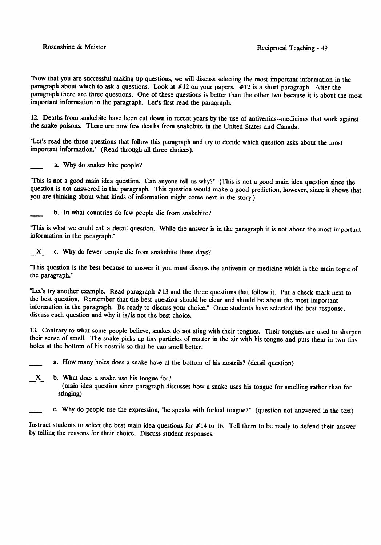"Now that you are successful making up questions, we will discuss selecting the most important information in the paragraph about which to ask a questions. Look at  $#12$  on your papers.  $#12$  is a short paragraph. After the paragraph there are three questions. One of these questions is better than the other two because it is about the most important information in the paragraph. Let's first read the paragraph."

12. Deaths from snakebite have been cut down in recent years by the use of antivenins--medicines that work against the snake poisons. There are now few deaths from snakebite in the United States and Canada.

"Let's read the three questions that follow this paragraph and try to decide which question asks about the most important information." (Read through all three choices).

a. Why do snakes bite people?

"This is not a good main idea question. Can anyone tell us why?" (This is not a good main idea question since the question is not answered in the paragraph. This question would make a good prediction, however, since it shows that you are thinking about what kinds of information might come next in the story.)

b. In what countries do few people die from snakebite?

"This is what we could call a detail question. While the answer is in the paragraph it is not about the most important information in the paragraph."

c. Why do fewer people die from snakebite these days?  $\mathbf{X}$ 

"This question is the best because to answer it you must discuss the antivenin or medicine which is the main topic of the paragraph."

"Let's try another example. Read paragraph #13 and the three questions that follow it. Put a check mark next to the best question. Remember that the best question should be clear and should be about the most important information in the paragraph. Be ready to discuss your choice." Once students have selected the best response, discuss each question and why it is/is not the best choice.

13. Contrary to what some people believe, snakes do not sting with their tongues. Their tongues are used to sharpen their sense of smell. The snake picks up tiny particles of matter in the air with his tongue and puts them in two tiny holes at the bottom of his nostrils so that he can smell better.

- a. How many holes does a snake have at the bottom of his nostrils? (detail question)
- $\mathbf{X}$ b. What does a snake use his tongue for?

(main idea question since paragraph discusses how a snake uses his tongue for smelling rather than for stinging)

c. Why do people use the expression, "he speaks with forked tongue?" (question not answered in the text)

Instruct students to select the best main idea questions for #14 to 16. Tell them to be ready to defend their answer by telling the reasons for their choice. Discuss student responses.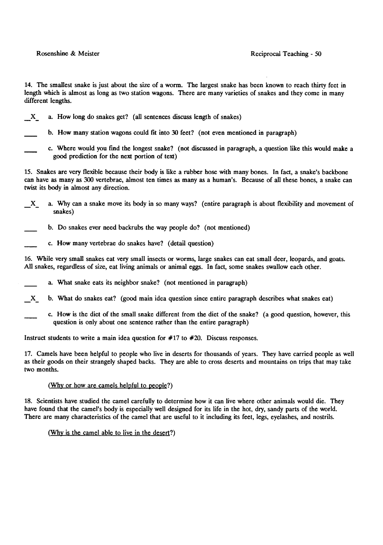14. The smallest snake is just about the size of a worm. The largest snake has been known to reach thirty feet in length which is almost as long as two station wagons. There are many varieties of snakes and they come in many different lengths.

- a. How long do snakes get? (all sentences discuss length of snakes)  $\mathbf{X}$
- b. How many station wagons could fit into 30 feet? (not even mentioned in paragraph)
- c. Where would you find the longest snake? (not discussed in paragraph, a question like this would make a good prediction for the next portion of text)

15. Snakes are very flexible because their body is like a rubber hose with many bones. In fact, a snake's backbone can have as many as 300 vertebrae, almost ten times as many as a human's. Because of all these bones, a snake can twist its body in almost any direction.

- $\mathbf{X}$ a. Why can a snake move its body in so many ways? (entire paragraph is about flexibility and movement of snakes)
- b. Do snakes ever need backrubs the way people do? (not mentioned)
- c. How many vertebrae do snakes have? (detail question)

16. While very small snakes eat very small insects or worms, large snakes can eat small deer, leopards, and goats. All snakes, regardless of size, eat living animals or animal eggs. In fact, some snakes swallow each other.

- a. What snake eats its neighbor snake? (not mentioned in paragraph)
- $\mathbf{X}$ b. What do snakes eat? (good main idea question since entire paragraph describes what snakes eat)
- c. How is the diet of the small snake different from the diet of the snake? (a good question, however, this question is only about one sentence rather than the entire paragraph)

Instruct students to write a main idea question for  $#17$  to  $#20$ . Discuss responses.

17. Camels have been helpful to people who live in deserts for thousands of years. They have carried people as well as their goods on their strangely shaped backs. They are able to cross deserts and mountains on trips that may take two months.

#### (Why or how are camels helpful to people?)

18. Scientists have studied the camel carefully to determine how it can live where other animals would die. They have found that the camel's body is especially well designed for its life in the hot, dry, sandy parts of the world. There are many characteristics of the camel that are useful to it including its feet, legs, eyelashes, and nostrils.

#### (Why is the camel able to live in the desert?)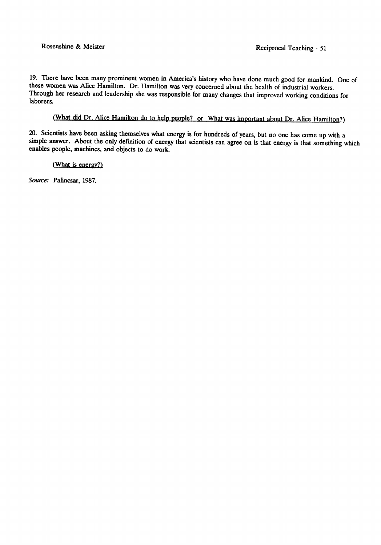19. There have been many prominent women in America's history who have done much good for mankind. One of these women was Alice Hamilton. Dr. Hamilton was very concerned about the health of industrial workers. Through her research and leadership she was responsible for many changes that improved working conditions for laborers.

## (What did Dr. Alice Hamilton do to help people? or What was important about Dr. Alice Hamilton?)

20. Scientists have been asking themselves what energy is for hundreds of years, but no one has come up with a simple answer. About the only definition of energy that scientists can agree on is that energy is that something which enables people, machines, and objects to do work.

(What is energy?)

Source: Palincsar, 1987.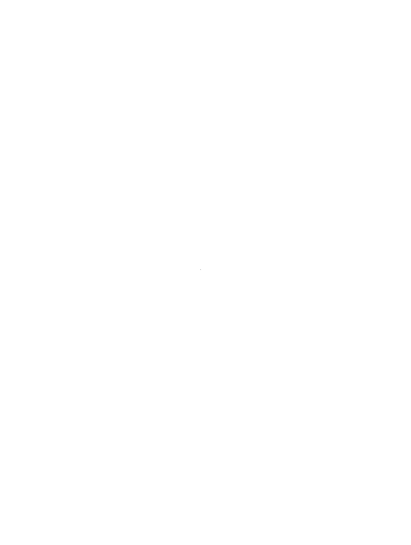$\mathcal{L}^{\text{max}}_{\text{max}}$  ,  $\mathcal{L}^{\text{max}}_{\text{max}}$